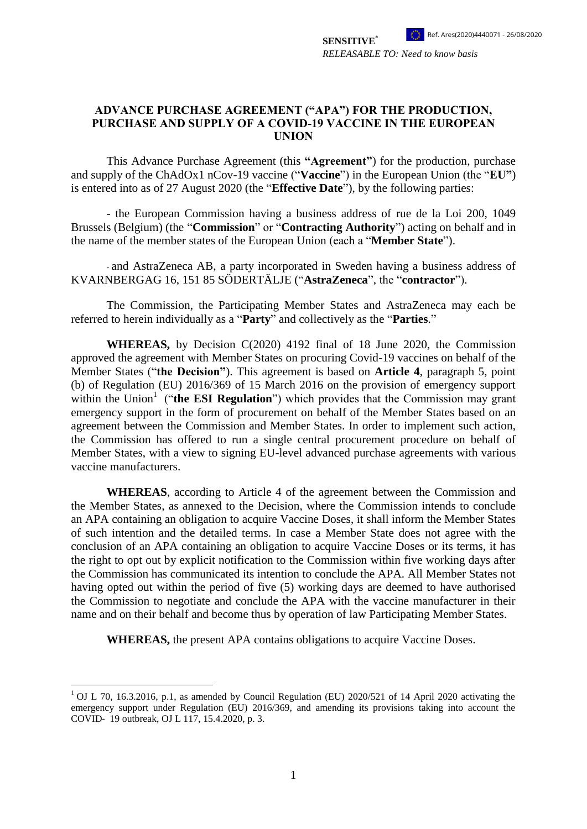*RELEASABLE TO: Need to know basis*

**SENSITIVE**\*

#### **ADVANCE PURCHASE AGREEMENT ("APA") FOR THE PRODUCTION, PURCHASE AND SUPPLY OF A COVID-19 VACCINE IN THE EUROPEAN UNION**

This Advance Purchase Agreement (this **"Agreement"**) for the production, purchase and supply of the ChAdOx1 nCov-19 vaccine ("**Vaccine**") in the European Union (the "**EU"**) is entered into as of 27 August 2020 (the "**Effective Date**"), by the following parties:

- the European Commission having a business address of rue de la Loi 200, 1049 Brussels (Belgium) (the "**Commission**" or "**Contracting Authority**") acting on behalf and in the name of the member states of the European Union (each a "**Member State**").

- and AstraZeneca AB, a party incorporated in Sweden having a business address of KVARNBERGAG 16, 151 85 SÖDERTÄLJE ("**AstraZeneca**", the "**contractor**").

The Commission, the Participating Member States and AstraZeneca may each be referred to herein individually as a "**Party**" and collectively as the "**Parties**."

**WHEREAS,** by Decision C(2020) 4192 final of 18 June 2020, the Commission approved the agreement with Member States on procuring Covid-19 vaccines on behalf of the Member States ("**the Decision"**). This agreement is based on **Article 4**, paragraph 5, point (b) of Regulation (EU) 2016/369 of 15 March 2016 on the provision of emergency support within the Union<sup>1</sup> ("the ESI Regulation") which provides that the Commission may grant emergency support in the form of procurement on behalf of the Member States based on an agreement between the Commission and Member States. In order to implement such action, the Commission has offered to run a single central procurement procedure on behalf of Member States, with a view to signing EU-level advanced purchase agreements with various vaccine manufacturers.

**WHEREAS**, according to Article 4 of the agreement between the Commission and the Member States, as annexed to the Decision, where the Commission intends to conclude an APA containing an obligation to acquire Vaccine Doses, it shall inform the Member States of such intention and the detailed terms. In case a Member State does not agree with the conclusion of an APA containing an obligation to acquire Vaccine Doses or its terms, it has the right to opt out by explicit notification to the Commission within five working days after the Commission has communicated its intention to conclude the APA. All Member States not having opted out within the period of five (5) working days are deemed to have authorised the Commission to negotiate and conclude the APA with the vaccine manufacturer in their name and on their behalf and become thus by operation of law Participating Member States.

**WHEREAS,** the present APA contains obligations to acquire Vaccine Doses.

<u>.</u>

<sup>&</sup>lt;sup>1</sup> OJ L 70, 16.3.2016, p.1, as amended by Council Regulation (EU) 2020/521 of 14 April 2020 activating the emergency support under Regulation (EU) 2016/369, and amending its provisions taking into account the COVID‐ 19 outbreak, OJ L 117, 15.4.2020, p. 3.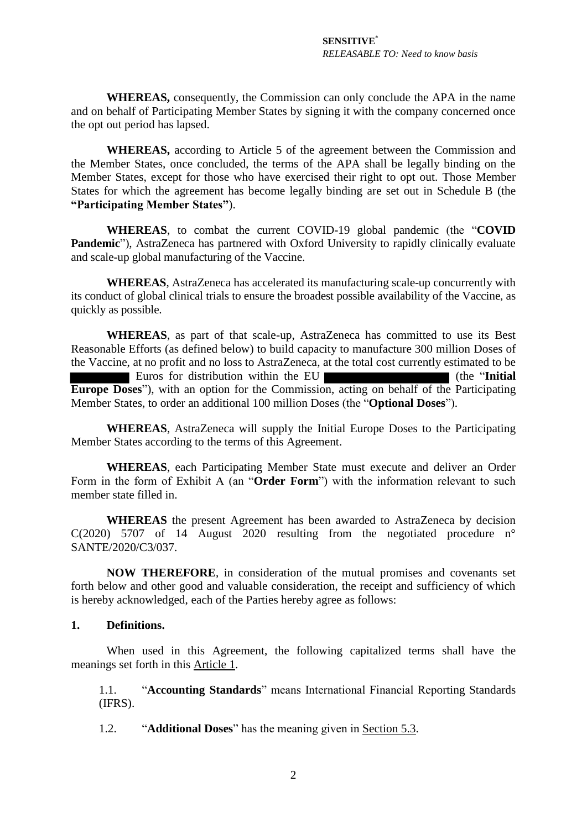**WHEREAS,** consequently, the Commission can only conclude the APA in the name and on behalf of Participating Member States by signing it with the company concerned once the opt out period has lapsed.

**WHEREAS,** according to Article 5 of the agreement between the Commission and the Member States, once concluded, the terms of the APA shall be legally binding on the Member States, except for those who have exercised their right to opt out. Those Member States for which the agreement has become legally binding are set out in Schedule B (the **"Participating Member States"**).

**WHEREAS**, to combat the current COVID-19 global pandemic (the "**COVID Pandemic**"), AstraZeneca has partnered with Oxford University to rapidly clinically evaluate and scale-up global manufacturing of the Vaccine.

**WHEREAS**, AstraZeneca has accelerated its manufacturing scale-up concurrently with its conduct of global clinical trials to ensure the broadest possible availability of the Vaccine, as quickly as possible.

**WHEREAS**, as part of that scale-up, AstraZeneca has committed to use its Best Reasonable Efforts (as defined below) to build capacity to manufacture 300 million Doses of the Vaccine, at no profit and no loss to AstraZeneca, at the total cost currently estimated to be Euros for distribution within the EU (the "**Initial Europe Doses**"), with an option for the Commission, acting on behalf of the Participating Member States, to order an additional 100 million Doses (the "**Optional Doses**").

**WHEREAS**, AstraZeneca will supply the Initial Europe Doses to the Participating Member States according to the terms of this Agreement.

**WHEREAS**, each Participating Member State must execute and deliver an Order Form in the form of Exhibit A (an "**Order Form**") with the information relevant to such member state filled in.

**WHEREAS** the present Agreement has been awarded to AstraZeneca by decision C(2020) 5707 of 14 August 2020 resulting from the negotiated procedure  $n^{\circ}$ SANTE/2020/C3/037.

**NOW THEREFORE**, in consideration of the mutual promises and covenants set forth below and other good and valuable consideration, the receipt and sufficiency of which is hereby acknowledged, each of the Parties hereby agree as follows:

#### <span id="page-1-0"></span>**1. Definitions.**

When used in this Agreement, the following capitalized terms shall have the meanings set forth in this Article [1.](#page-1-0)

1.1. "**Accounting Standards**" means International Financial Reporting Standards (IFRS).

1.2. "**Additional Doses**" has the meaning given in Section 5.3.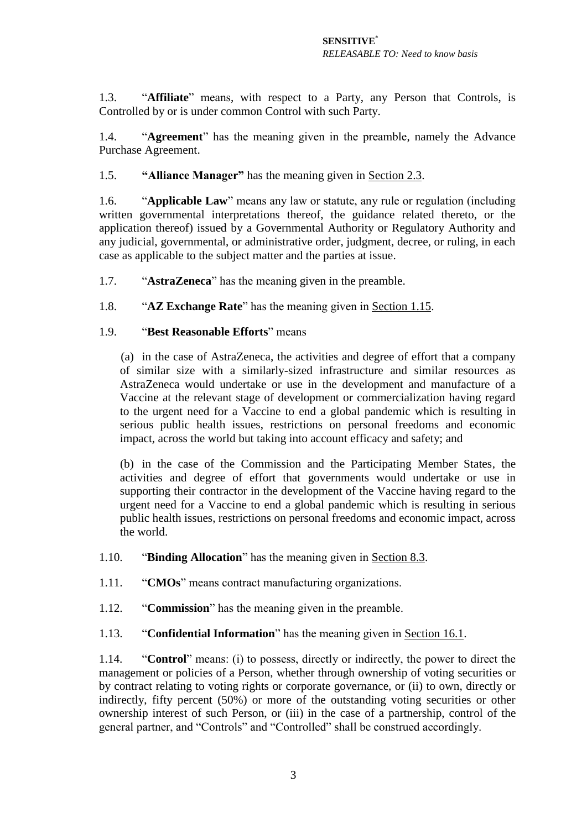1.3. "**Affiliate**" means, with respect to a Party, any Person that Controls, is Controlled by or is under common Control with such Party.

1.4. "**Agreement**" has the meaning given in the preamble, namely the Advance Purchase Agreement.

1.5. **"Alliance Manager"** has the meaning given in Section [2.3.](#page-8-0)

1.6. "**Applicable Law**" means any law or statute, any rule or regulation (including written governmental interpretations thereof, the guidance related thereto, or the application thereof) issued by a Governmental Authority or Regulatory Authority and any judicial, governmental, or administrative order, judgment, decree, or ruling, in each case as applicable to the subject matter and the parties at issue.

1.7. "**AstraZeneca**" has the meaning given in the preamble.

1.8. "**AZ Exchange Rate**" has the meaning given in Section 1.15.

## 1.9. "**Best Reasonable Efforts**" means

(a) in the case of AstraZeneca, the activities and degree of effort that a company of similar size with a similarly-sized infrastructure and similar resources as AstraZeneca would undertake or use in the development and manufacture of a Vaccine at the relevant stage of development or commercialization having regard to the urgent need for a Vaccine to end a global pandemic which is resulting in serious public health issues, restrictions on personal freedoms and economic impact, across the world but taking into account efficacy and safety; and

(b) in the case of the Commission and the Participating Member States, the activities and degree of effort that governments would undertake or use in supporting their contractor in the development of the Vaccine having regard to the urgent need for a Vaccine to end a global pandemic which is resulting in serious public health issues, restrictions on personal freedoms and economic impact, across the world.

1.10. "**Binding Allocation**" has the meaning given in Section [8.3.](#page-16-0)

1.11. "**CMOs**" means contract manufacturing organizations.

1.12. "**Commission**" has the meaning given in the preamble.

1.13. "**Confidential Information**" has the meaning given in Section [16.1.](#page-25-0)

1.14. "**Control**" means: (i) to possess, directly or indirectly, the power to direct the management or policies of a Person, whether through ownership of voting securities or by contract relating to voting rights or corporate governance, or (ii) to own, directly or indirectly, fifty percent (50%) or more of the outstanding voting securities or other ownership interest of such Person, or (iii) in the case of a partnership, control of the general partner, and "Controls" and "Controlled" shall be construed accordingly.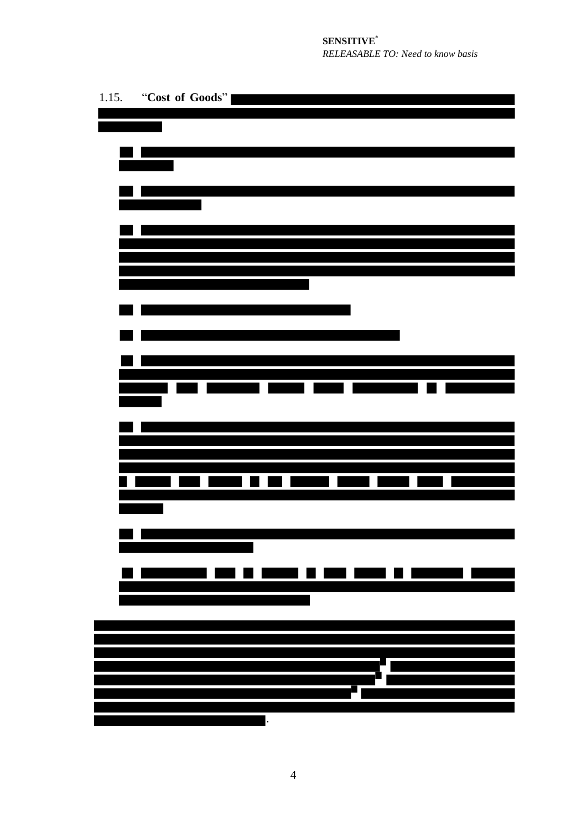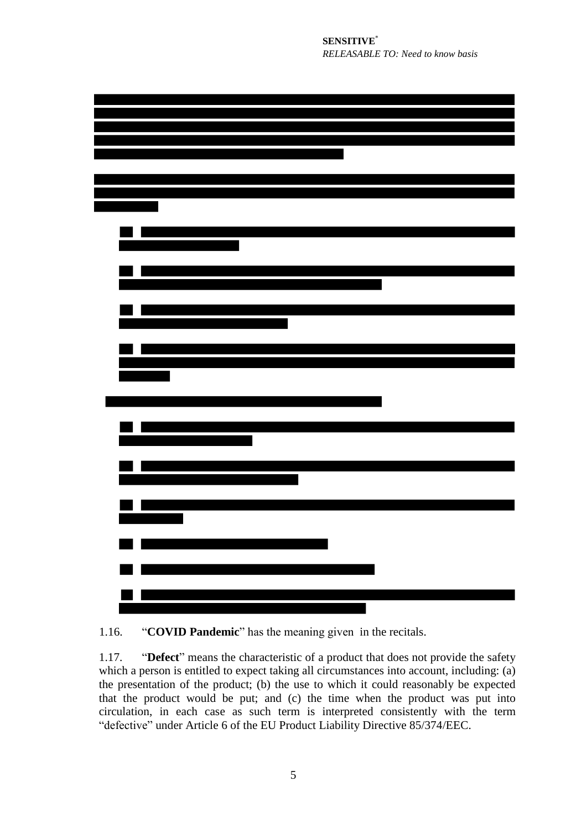

1.16. "**COVID Pandemic**" has the meaning given in the recitals.

1.17. "**Defect**" means the characteristic of a product that does not provide the safety which a person is entitled to expect taking all circumstances into account, including: (a) the presentation of the product; (b) the use to which it could reasonably be expected that the product would be put; and (c) the time when the product was put into circulation, in each case as such term is interpreted consistently with the term "defective" under Article 6 of the EU Product Liability Directive 85/374/EEC.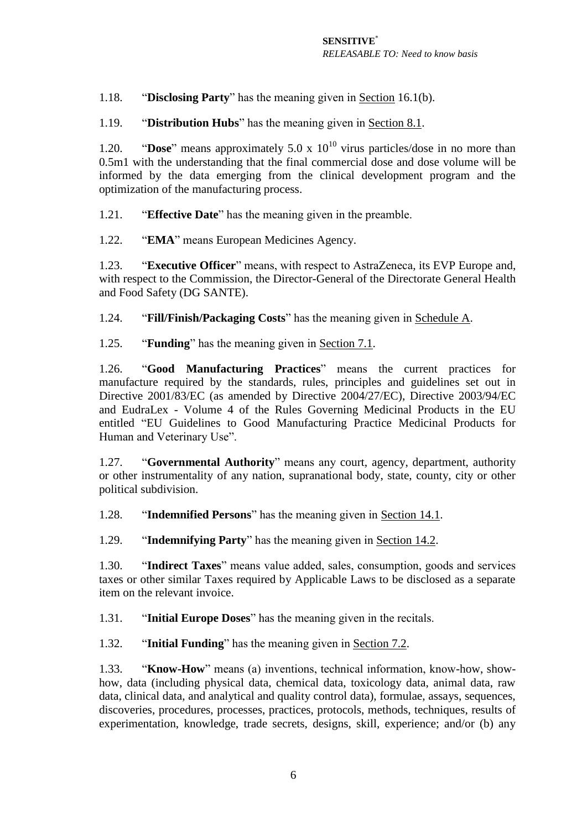1.18. "**Disclosing Party**" has the meaning given in Section [16.1\(b\).](#page-25-1)

1.19. "**Distribution Hubs**" has the meaning given in Section [8.1.](#page-15-0)

1.20. **"Dose"** means approximately  $5.0 \times 10^{10}$  virus particles/dose in no more than 0.5m1 with the understanding that the final commercial dose and dose volume will be informed by the data emerging from the clinical development program and the optimization of the manufacturing process.

1.21. "**Effective Date**" has the meaning given in the preamble.

1.22. "**EMA**" means European Medicines Agency.

1.23. "**Executive Officer**" means, with respect to AstraZeneca, its EVP Europe and, with respect to the Commission, the Director-General of the Directorate General Health and Food Safety (DG SANTE).

1.24. "**Fill/Finish/Packaging Costs**" has the meaning given in Schedule A.

1.25. "**Funding**" has the meaning given in Section [7.1.](#page-12-0)

1.26. "**Good Manufacturing Practices**" means the current practices for manufacture required by the standards, rules, principles and guidelines set out in Directive 2001/83/EC (as amended by Directive 2004/27/EC), Directive 2003/94/EC and EudraLex - Volume 4 of the Rules Governing Medicinal Products in the EU entitled "EU Guidelines to Good Manufacturing Practice Medicinal Products for Human and Veterinary Use".

1.27. "**Governmental Authority**" means any court, agency, department, authority or other instrumentality of any nation, supranational body, state, county, city or other political subdivision.

1.28. "**Indemnified Persons**" has the meaning given in Section [14.1.](#page-22-0)

1.29. "**Indemnifying Party**" has the meaning given in Section [14.2.](#page-23-0)

1.30. "**Indirect Taxes**" means value added, sales, consumption, goods and services taxes or other similar Taxes required by Applicable Laws to be disclosed as a separate item on the relevant invoice.

1.31. "**Initial Europe Doses**" has the meaning given in the recitals.

1.32. "**Initial Funding**" has the meaning given in Section [7.2.](#page-12-1)

1.33. "**Know-How**" means (a) inventions, technical information, know-how, showhow, data (including physical data, chemical data, toxicology data, animal data, raw data, clinical data, and analytical and quality control data), formulae, assays, sequences, discoveries, procedures, processes, practices, protocols, methods, techniques, results of experimentation, knowledge, trade secrets, designs, skill, experience; and/or (b) any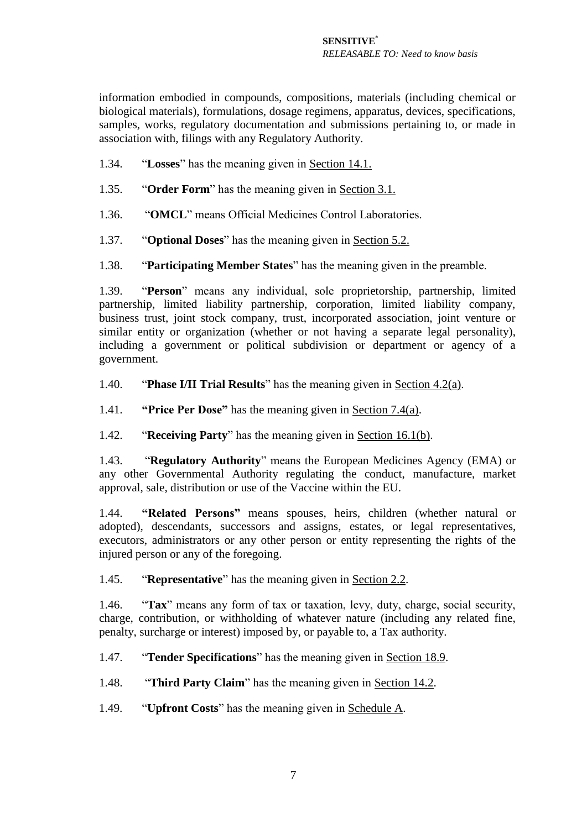information embodied in compounds, compositions, materials (including chemical or biological materials), formulations, dosage regimens, apparatus, devices, specifications, samples, works, regulatory documentation and submissions pertaining to, or made in association with, filings with any Regulatory Authority.

- 1.34. "**Losses**" has the meaning given in Section [14.1.](#page-23-0)
- 1.35. "**Order Form**" has the meaning given in Section 3.1.
- 1.36. "**OMCL**" means Official Medicines Control Laboratories.
- 1.37. "**Optional Doses**" has the meaning given in Section 5.2.
- 1.38. "**Participating Member States**" has the meaning given in the preamble.

1.39. "**Person**" means any individual, sole proprietorship, partnership, limited partnership, limited liability partnership, corporation, limited liability company, business trust, joint stock company, trust, incorporated association, joint venture or similar entity or organization (whether or not having a separate legal personality), including a government or political subdivision or department or agency of a government.

- 1.40. "**Phase I/II Trial Results**" has the meaning given in Section [4.2\(a\).](#page-9-0)
- 1.41. **"Price Per Dose"** has the meaning given in Section [7.4\(a\).](#page-12-2)
- 1.42. "**Receiving Party**" has the meaning given in Section [16.1\(b\).](#page-25-1)

1.43. "**Regulatory Authority**" means the European Medicines Agency (EMA) or any other Governmental Authority regulating the conduct, manufacture, market approval, sale, distribution or use of the Vaccine within the EU.

1.44. **"Related Persons"** means spouses, heirs, children (whether natural or adopted), descendants, successors and assigns, estates, or legal representatives, executors, administrators or any other person or entity representing the rights of the injured person or any of the foregoing.

1.45. "**Representative**" has the meaning given in Section [2.2.](#page-8-1)

1.46. "**Tax**" means any form of tax or taxation, levy, duty, charge, social security, charge, contribution, or withholding of whatever nature (including any related fine, penalty, surcharge or interest) imposed by, or payable to, a Tax authority.

1.47. "**Tender Specifications**" has the meaning given in Section [18.9.](#page-32-0)

1.48. "**Third Party Claim**" has the meaning given in Section [14.2.](#page-23-0)

1.49. "**Upfront Costs**" has the meaning given in Schedule A.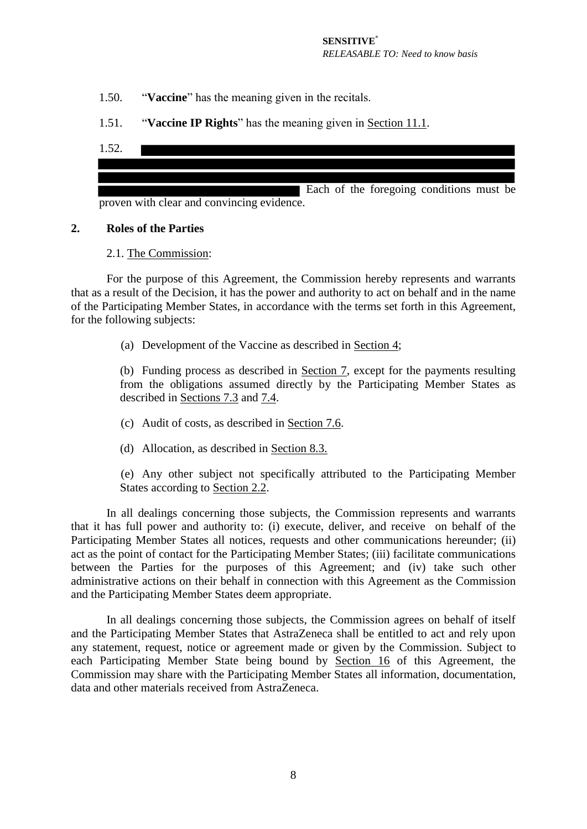- 1.50. "**Vaccine**" has the meaning given in the recitals.
- 1.51. "**Vaccine IP Rights**" has the meaning given in Section [11.1.](#page-19-0)
- 1.52.



#### <span id="page-7-0"></span>**2. Roles of the Parties**

#### 2.1. The Commission:

For the purpose of this Agreement, the Commission hereby represents and warrants that as a result of the Decision, it has the power and authority to act on behalf and in the name of the Participating Member States, in accordance with the terms set forth in this Agreement, for the following subjects:

(a) Development of the Vaccine as described in Section [4;](#page-9-1)

(b) Funding process as described in Section [7,](#page-12-3) except for the payments resulting from the obligations assumed directly by the Participating Member States as described in Sections [7.3](#page-12-4) and [7.4.](#page-12-5)

- (c) Audit of costs, as described in Section [7.6.](#page-14-0)
- (d) Allocation, as described in Section [8.3.](#page-16-1)

(e) Any other subject not specifically attributed to the Participating Member States according to Section [2.2.](#page-8-1)

In all dealings concerning those subjects, the Commission represents and warrants that it has full power and authority to: (i) execute, deliver, and receive on behalf of the Participating Member States all notices, requests and other communications hereunder; (ii) act as the point of contact for the Participating Member States; (iii) facilitate communications between the Parties for the purposes of this Agreement; and (iv) take such other administrative actions on their behalf in connection with this Agreement as the Commission and the Participating Member States deem appropriate.

In all dealings concerning those subjects, the Commission agrees on behalf of itself and the Participating Member States that AstraZeneca shall be entitled to act and rely upon any statement, request, notice or agreement made or given by the Commission. Subject to each Participating Member State being bound by Section [16](#page-25-2) of this Agreement, the Commission may share with the Participating Member States all information, documentation, data and other materials received from AstraZeneca.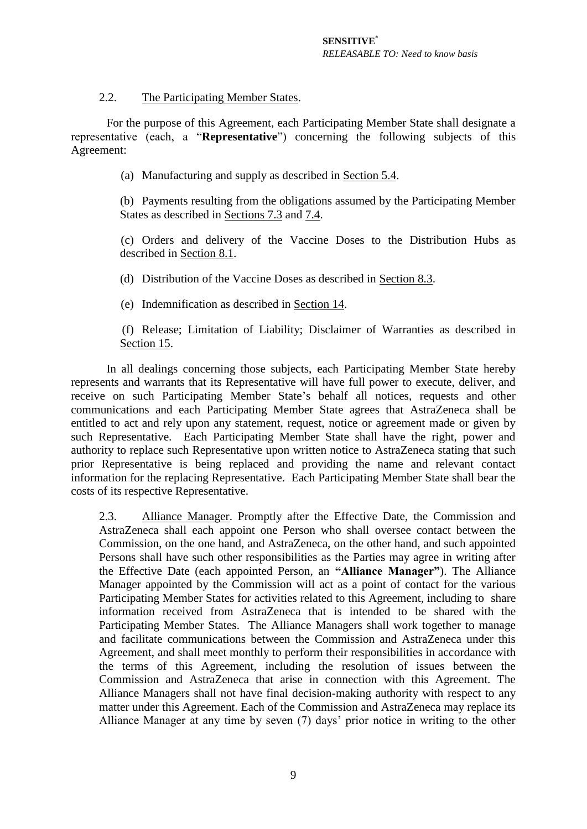# 2.2. The Participating Member States.

<span id="page-8-1"></span>For the purpose of this Agreement, each Participating Member State shall designate a representative (each, a "**Representative**") concerning the following subjects of this Agreement:

(a) Manufacturing and supply as described in Section 5.4.

(b) Payments resulting from the obligations assumed by the Participating Member States as described in Sections [7.3](#page-12-4) and [7.4.](#page-12-5)

(c) Orders and delivery of the Vaccine Doses to the Distribution Hubs as described in Section [8.1.](#page-15-0)

(d) Distribution of the Vaccine Doses as described in Section [8.3.](#page-16-0)

(e) Indemnification as described in Section [14.](#page-23-1)

(f) Release; Limitation of Liability; Disclaimer of Warranties as described in Section [15.](#page-24-0)

In all dealings concerning those subjects, each Participating Member State hereby represents and warrants that its Representative will have full power to execute, deliver, and receive on such Participating Member State's behalf all notices, requests and other communications and each Participating Member State agrees that AstraZeneca shall be entitled to act and rely upon any statement, request, notice or agreement made or given by such Representative. Each Participating Member State shall have the right, power and authority to replace such Representative upon written notice to AstraZeneca stating that such prior Representative is being replaced and providing the name and relevant contact information for the replacing Representative. Each Participating Member State shall bear the costs of its respective Representative.

<span id="page-8-0"></span>2.3. Alliance Manager. Promptly after the Effective Date, the Commission and AstraZeneca shall each appoint one Person who shall oversee contact between the Commission, on the one hand, and AstraZeneca, on the other hand, and such appointed Persons shall have such other responsibilities as the Parties may agree in writing after the Effective Date (each appointed Person, an **"Alliance Manager"**). The Alliance Manager appointed by the Commission will act as a point of contact for the various Participating Member States for activities related to this Agreement, including to share information received from AstraZeneca that is intended to be shared with the Participating Member States. The Alliance Managers shall work together to manage and facilitate communications between the Commission and AstraZeneca under this Agreement, and shall meet monthly to perform their responsibilities in accordance with the terms of this Agreement, including the resolution of issues between the Commission and AstraZeneca that arise in connection with this Agreement. The Alliance Managers shall not have final decision-making authority with respect to any matter under this Agreement. Each of the Commission and AstraZeneca may replace its Alliance Manager at any time by seven (7) days' prior notice in writing to the other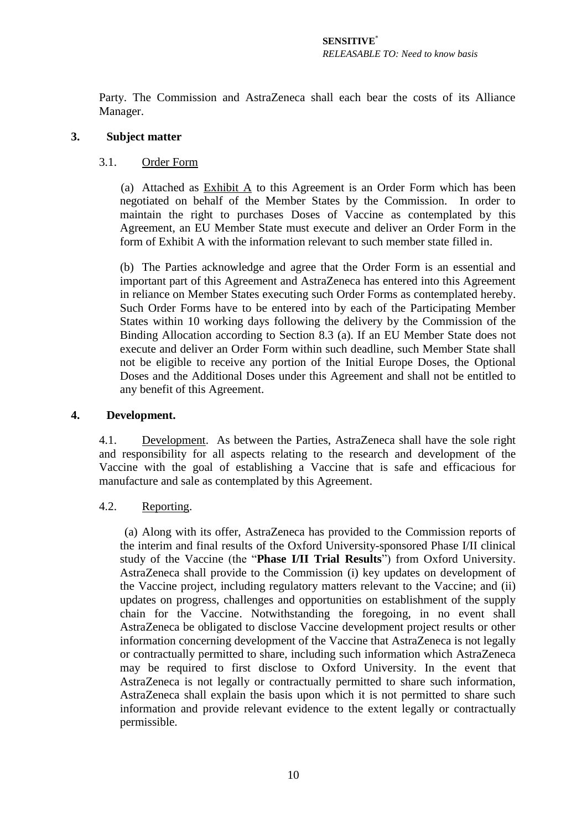Party. The Commission and AstraZeneca shall each bear the costs of its Alliance Manager.

## **3. Subject matter**

## 3.1. Order Form

(a) Attached as Exhibit A to this Agreement is an Order Form which has been negotiated on behalf of the Member States by the Commission. In order to maintain the right to purchases Doses of Vaccine as contemplated by this Agreement, an EU Member State must execute and deliver an Order Form in the form of Exhibit A with the information relevant to such member state filled in.

(b) The Parties acknowledge and agree that the Order Form is an essential and important part of this Agreement and AstraZeneca has entered into this Agreement in reliance on Member States executing such Order Forms as contemplated hereby. Such Order Forms have to be entered into by each of the Participating Member States within 10 working days following the delivery by the Commission of the Binding Allocation according to Section 8.3 (a). If an EU Member State does not execute and deliver an Order Form within such deadline, such Member State shall not be eligible to receive any portion of the Initial Europe Doses, the Optional Doses and the Additional Doses under this Agreement and shall not be entitled to any benefit of this Agreement.

## <span id="page-9-1"></span>**4. Development.**

4.1. Development. As between the Parties, AstraZeneca shall have the sole right and responsibility for all aspects relating to the research and development of the Vaccine with the goal of establishing a Vaccine that is safe and efficacious for manufacture and sale as contemplated by this Agreement.

# <span id="page-9-0"></span>4.2. Reporting.

(a) Along with its offer, AstraZeneca has provided to the Commission reports of the interim and final results of the Oxford University-sponsored Phase I/II clinical study of the Vaccine (the "**Phase I/II Trial Results**") from Oxford University. AstraZeneca shall provide to the Commission (i) key updates on development of the Vaccine project, including regulatory matters relevant to the Vaccine; and (ii) updates on progress, challenges and opportunities on establishment of the supply chain for the Vaccine. Notwithstanding the foregoing, in no event shall AstraZeneca be obligated to disclose Vaccine development project results or other information concerning development of the Vaccine that AstraZeneca is not legally or contractually permitted to share, including such information which AstraZeneca may be required to first disclose to Oxford University. In the event that AstraZeneca is not legally or contractually permitted to share such information, AstraZeneca shall explain the basis upon which it is not permitted to share such information and provide relevant evidence to the extent legally or contractually permissible.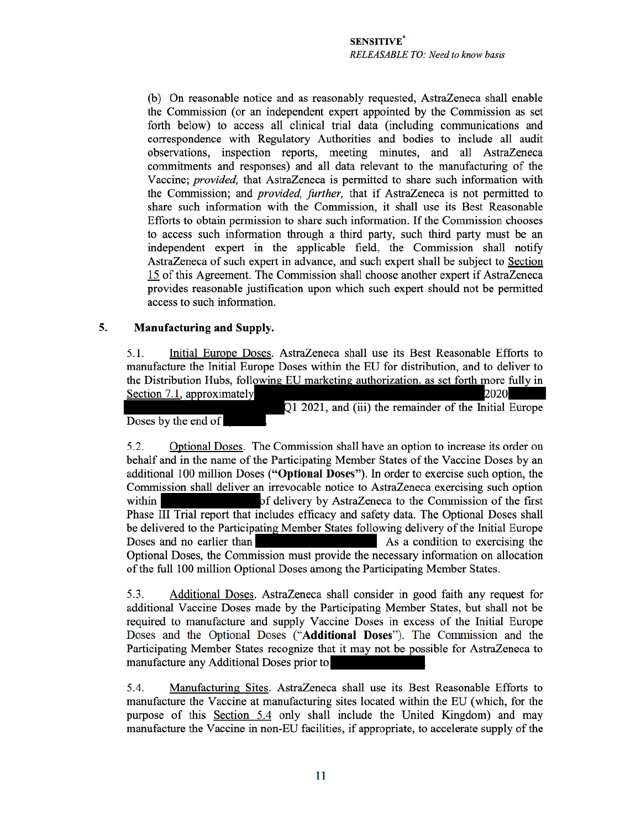(b) On reasonable notice and as reasonably requested, AstraZeneca shall enable the Commission (or an independent expert appointed by the Commission as set forth below) to access all clinical trial data (including communications and correspondence with Regulatory Authorities and bodies to include all audit observations, inspection reports, meeting minutes, and all AstraZeneca commitments and responses) and all data relevant to the manufacturing of the Vaccine; *provided*, that AstraZeneca is permitted to share such information with the Commission; and *provided, further*, that if AstraZeneca is not permitted to share such information with the Commission, it shall use its Best Reasonable Efforts to obtain permission to share such information. If the Commission chooses to access such information through a third party, such third party must be an independent expert in the applicable field, the Commission shall notify AstraZeneca of such expert in advance, and such expert shall be subject to Section 15 of this Agreement. The Commission shall choose another expert if AstraZeneca provides reasonable justification upon which such expert should not be permitted access to such information.

#### 5. **Manufacturing and Supply.**

Initial Europe Doses. AstraZeneca shall use its Best Reasonable Efforts to  $5.1.$ manufacture the Initial Europe Doses within the EU for distribution, and to deliver to the Distribution Hubs, following EU marketing authorization, as set forth more fully in Section 7.1, approximately 2020

Q1 2021, and (iii) the remainder of the Initial Europe

Doses by the end of

Optional Doses. The Commission shall have an option to increase its order on 5.2. behalf and in the name of the Participating Member States of the Vaccine Doses by an additional 100 million Doses ("Optional Doses"). In order to exercise such option, the Commission shall deliver an irrevocable notice to AstraZeneca exercising such option within of delivery by AstraZeneca to the Commission of the first Phase III Trial report that includes efficacy and safety data. The Optional Doses shall be delivered to the Participating Member States following delivery of the Initial Europe Doses and no earlier than As a condition to exercising the Optional Doses, the Commission must provide the necessary information on allocation of the full 100 million Optional Doses among the Participating Member States.

Additional Doses. AstraZeneca shall consider in good faith any request for 5.3. additional Vaccine Doses made by the Participating Member States, but shall not be required to manufacture and supply Vaccine Doses in excess of the Initial Europe Doses and the Optional Doses ("Additional Doses"). The Commission and the Participating Member States recognize that it may not be possible for AstraZeneca to manufacture any Additional Doses prior to

5.4. Manufacturing Sites. AstraZeneca shall use its Best Reasonable Efforts to manufacture the Vaccine at manufacturing sites located within the EU (which, for the purpose of this Section 5.4 only shall include the United Kingdom) and may manufacture the Vaccine in non-EU facilities, if appropriate, to accelerate supply of the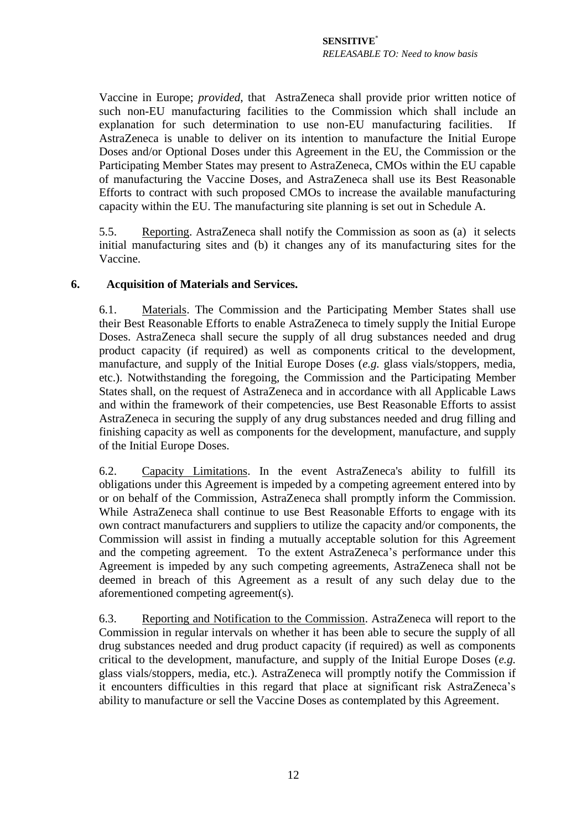Vaccine in Europe; *provided*, that AstraZeneca shall provide prior written notice of such non-EU manufacturing facilities to the Commission which shall include an explanation for such determination to use non-EU manufacturing facilities. AstraZeneca is unable to deliver on its intention to manufacture the Initial Europe Doses and/or Optional Doses under this Agreement in the EU, the Commission or the Participating Member States may present to AstraZeneca, CMOs within the EU capable of manufacturing the Vaccine Doses, and AstraZeneca shall use its Best Reasonable Efforts to contract with such proposed CMOs to increase the available manufacturing capacity within the EU. The manufacturing site planning is set out in Schedule A.

5.5. Reporting. AstraZeneca shall notify the Commission as soon as (a) it selects initial manufacturing sites and (b) it changes any of its manufacturing sites for the Vaccine.

#### **6. Acquisition of Materials and Services.**

6.1. Materials. The Commission and the Participating Member States shall use their Best Reasonable Efforts to enable AstraZeneca to timely supply the Initial Europe Doses. AstraZeneca shall secure the supply of all drug substances needed and drug product capacity (if required) as well as components critical to the development, manufacture, and supply of the Initial Europe Doses (*e.g.* glass vials/stoppers, media, etc.). Notwithstanding the foregoing, the Commission and the Participating Member States shall, on the request of AstraZeneca and in accordance with all Applicable Laws and within the framework of their competencies, use Best Reasonable Efforts to assist AstraZeneca in securing the supply of any drug substances needed and drug filling and finishing capacity as well as components for the development, manufacture, and supply of the Initial Europe Doses.

6.2. Capacity Limitations. In the event AstraZeneca's ability to fulfill its obligations under this Agreement is impeded by a competing agreement entered into by or on behalf of the Commission, AstraZeneca shall promptly inform the Commission. While AstraZeneca shall continue to use Best Reasonable Efforts to engage with its own contract manufacturers and suppliers to utilize the capacity and/or components, the Commission will assist in finding a mutually acceptable solution for this Agreement and the competing agreement. To the extent AstraZeneca's performance under this Agreement is impeded by any such competing agreements, AstraZeneca shall not be deemed in breach of this Agreement as a result of any such delay due to the aforementioned competing agreement(s).

6.3. Reporting and Notification to the Commission. AstraZeneca will report to the Commission in regular intervals on whether it has been able to secure the supply of all drug substances needed and drug product capacity (if required) as well as components critical to the development, manufacture, and supply of the Initial Europe Doses (*e.g.*  glass vials/stoppers, media, etc.). AstraZeneca will promptly notify the Commission if it encounters difficulties in this regard that place at significant risk AstraZeneca's ability to manufacture or sell the Vaccine Doses as contemplated by this Agreement.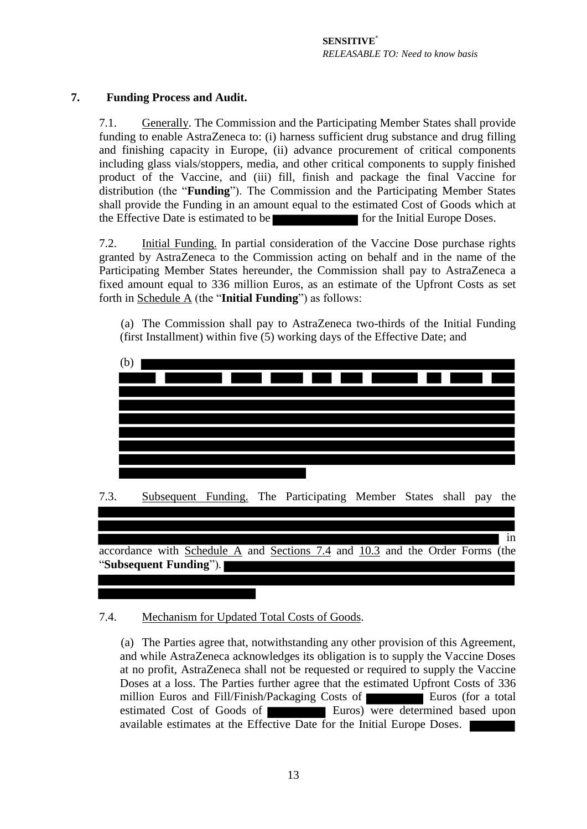# <span id="page-12-3"></span><span id="page-12-0"></span>**7. Funding Process and Audit.**

7.1. Generally. The Commission and the Participating Member States shall provide funding to enable AstraZeneca to: (i) harness sufficient drug substance and drug filling and finishing capacity in Europe, (ii) advance procurement of critical components including glass vials/stoppers, media, and other critical components to supply finished product of the Vaccine, and (iii) fill, finish and package the final Vaccine for distribution (the "**Funding**"). The Commission and the Participating Member States shall provide the Funding in an amount equal to the estimated Cost of Goods which at the Effective Date is estimated to be for the Initial Europe Doses.

<span id="page-12-1"></span>7.2. Initial Funding. In partial consideration of the Vaccine Dose purchase rights granted by AstraZeneca to the Commission acting on behalf and in the name of the Participating Member States hereunder, the Commission shall pay to AstraZeneca a fixed amount equal to 336 million Euros, as an estimate of the Upfront Costs as set forth in Schedule A (the "**Initial Funding**") as follows:

(a) The Commission shall pay to AstraZeneca two-thirds of the Initial Funding (first Installment) within five (5) working days of the Effective Date; and



<span id="page-12-4"></span>"**Subsequent Funding**").

# <span id="page-12-5"></span><span id="page-12-2"></span>7.4. Mechanism for Updated Total Costs of Goods.

(a) The Parties agree that, notwithstanding any other provision of this Agreement, and while AstraZeneca acknowledges its obligation is to supply the Vaccine Doses at no profit, AstraZeneca shall not be requested or required to supply the Vaccine Doses at a loss. The Parties further agree that the estimated Upfront Costs of 336 million Euros and Fill/Finish/Packaging Costs of Euros (for a total estimated Cost of Goods of **Euros** Euros) were determined based upon available estimates at the Effective Date for the Initial Europe Doses.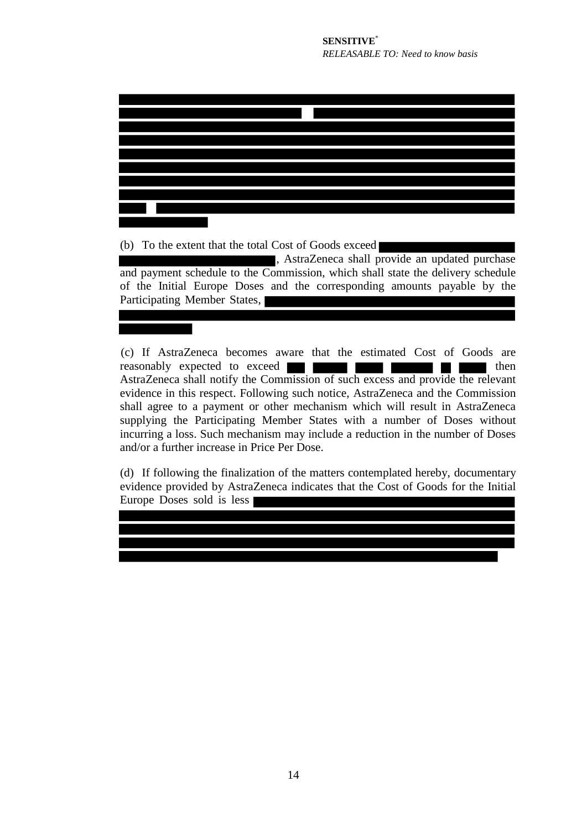(b) To the extent that the total Cost of Goods exceed

, AstraZeneca shall provide an updated purchase and payment schedule to the Commission, which shall state the delivery schedule of the Initial Europe Doses and the corresponding amounts payable by the Participating Member States,

(c) If AstraZeneca becomes aware that the estimated Cost of Goods are reasonably expected to exceed **the set of the set of the set of then** AstraZeneca shall notify the Commission of such excess and provide the relevant evidence in this respect. Following such notice, AstraZeneca and the Commission shall agree to a payment or other mechanism which will result in AstraZeneca supplying the Participating Member States with a number of Doses without incurring a loss. Such mechanism may include a reduction in the number of Doses and/or a further increase in Price Per Dose.

(d) If following the finalization of the matters contemplated hereby, documentary evidence provided by AstraZeneca indicates that the Cost of Goods for the Initial Europe Doses sold is less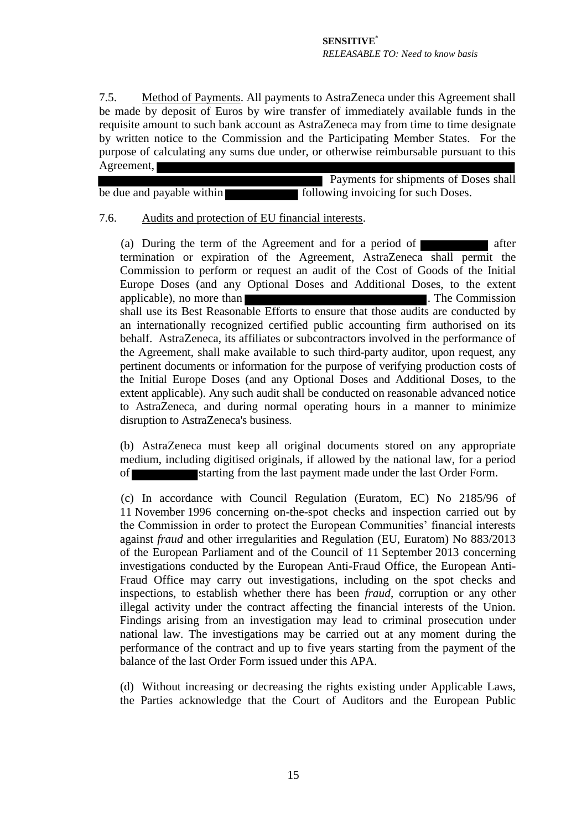7.5. Method of Payments. All payments to AstraZeneca under this Agreement shall be made by deposit of Euros by wire transfer of immediately available funds in the requisite amount to such bank account as AstraZeneca may from time to time designate by written notice to the Commission and the Participating Member States. For the purpose of calculating any sums due under, or otherwise reimbursable pursuant to this Agreement,

 Payments for shipments of Doses shall be due and payable within **following invoicing for such Doses**.

#### <span id="page-14-0"></span>7.6. Audits and protection of EU financial interests.

(a) During the term of the Agreement and for a period of  $\blacksquare$  after termination or expiration of the Agreement, AstraZeneca shall permit the Commission to perform or request an audit of the Cost of Goods of the Initial Europe Doses (and any Optional Doses and Additional Doses, to the extent applicable), no more than **. The Commission** . The Commission shall use its Best Reasonable Efforts to ensure that those audits are conducted by an internationally recognized certified public accounting firm authorised on its behalf. AstraZeneca, its affiliates or subcontractors involved in the performance of the Agreement, shall make available to such third-party auditor, upon request, any pertinent documents or information for the purpose of verifying production costs of the Initial Europe Doses (and any Optional Doses and Additional Doses, to the extent applicable). Any such audit shall be conducted on reasonable advanced notice to AstraZeneca, and during normal operating hours in a manner to minimize disruption to AstraZeneca's business.

(b) AstraZeneca must keep all original documents stored on any appropriate medium, including digitised originals, if allowed by the national law, for a period of starting from the last payment made under the last Order Form.

(c) In accordance with Council Regulation (Euratom, EC) No 2185/96 of 11 November 1996 concerning on-the-spot checks and inspection carried out by the Commission in order to protect the European Communities' financial interests against *fraud* and other irregularities and Regulation (EU, Euratom) No 883/2013 of the European Parliament and of the Council of 11 September 2013 concerning investigations conducted by the European Anti-Fraud Office, the European Anti-Fraud Office may carry out investigations, including on the spot checks and inspections, to establish whether there has been *fraud*, corruption or any other illegal activity under the contract affecting the financial interests of the Union. Findings arising from an investigation may lead to criminal prosecution under national law. The investigations may be carried out at any moment during the performance of the contract and up to five years starting from the payment of the balance of the last Order Form issued under this APA.

(d) Without increasing or decreasing the rights existing under Applicable Laws, the Parties acknowledge that the Court of Auditors and the European Public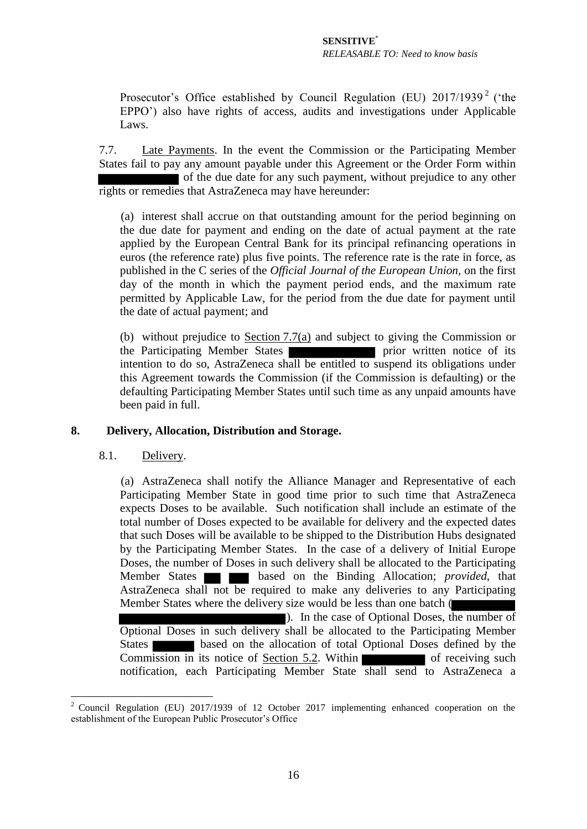Prosecutor's Office established by Council Regulation (EU)  $2017/1939^2$  ('the EPPO') also have rights of access, audits and investigations under Applicable Laws.

<span id="page-15-1"></span>7.7. Late Payments. In the event the Commission or the Participating Member States fail to pay any amount payable under this Agreement or the Order Form within of the due date for any such payment, without prejudice to any other rights or remedies that AstraZeneca may have hereunder:

(a) interest shall accrue on that outstanding amount for the period beginning on the due date for payment and ending on the date of actual payment at the rate applied by the European Central Bank for its principal refinancing operations in euros (the reference rate) plus five points. The reference rate is the rate in force, as published in the C series of the *Official Journal of the European Union,* on the first day of the month in which the payment period ends, and the maximum rate permitted by Applicable Law, for the period from the due date for payment until the date of actual payment; and

(b) without prejudice to  $S$ ection [7.7\(a\)](#page-15-1) and subject to giving the Commission or the Participating Member States the Participating Member States intention to do so, AstraZeneca shall be entitled to suspend its obligations under this Agreement towards the Commission (if the Commission is defaulting) or the defaulting Participating Member States until such time as any unpaid amounts have been paid in full.

## <span id="page-15-0"></span>**8. Delivery, Allocation, Distribution and Storage.**

#### 8.1. Delivery.

1

(a) AstraZeneca shall notify the Alliance Manager and Representative of each Participating Member State in good time prior to such time that AstraZeneca expects Doses to be available. Such notification shall include an estimate of the total number of Doses expected to be available for delivery and the expected dates that such Doses will be available to be shipped to the Distribution Hubs designated by the Participating Member States. In the case of a delivery of Initial Europe Doses, the number of Doses in such delivery shall be allocated to the Participating Member States **based** on the Binding Allocation; *provided*, that AstraZeneca shall not be required to make any deliveries to any Participating Member States where the delivery size would be less than one batch ( ). In the case of Optional Doses, the number of Optional Doses in such delivery shall be allocated to the Participating Member States based on the allocation of total Optional Doses defined by the Commission in its notice of <u>Section 5.2</u>. Within of receiving such notification, each Participating Member State shall send to AstraZeneca a

<sup>&</sup>lt;sup>2</sup> Council Regulation (EU) 2017/1939 of 12 October 2017 implementing enhanced cooperation on the establishment of the European Public Prosecutor's Office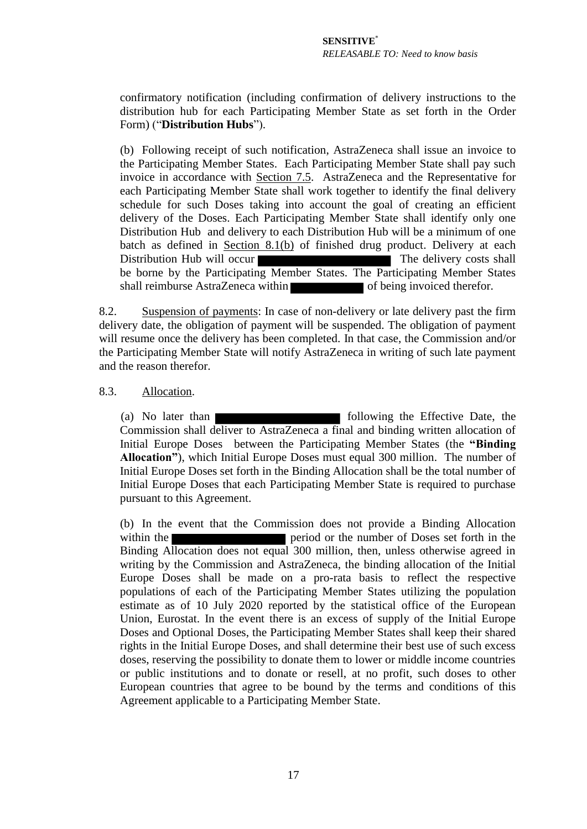confirmatory notification (including confirmation of delivery instructions to the distribution hub for each Participating Member State as set forth in the Order Form) ("**Distribution Hubs**").

(b) Following receipt of such notification, AstraZeneca shall issue an invoice to the Participating Member States. Each Participating Member State shall pay such invoice in accordance with Section 7.5. AstraZeneca and the Representative for each Participating Member State shall work together to identify the final delivery schedule for such Doses taking into account the goal of creating an efficient delivery of the Doses. Each Participating Member State shall identify only one Distribution Hub and delivery to each Distribution Hub will be a minimum of one batch as defined in Section 8.1(b) of finished drug product. Delivery at each Distribution Hub will occur The delivery costs shall be borne by the Participating Member States. The Participating Member States shall reimburse AstraZeneca within of being invoiced therefor.

<span id="page-16-1"></span>8.2. Suspension of payments: In case of non-delivery or late delivery past the firm delivery date, the obligation of payment will be suspended. The obligation of payment will resume once the delivery has been completed. In that case, the Commission and/or the Participating Member State will notify AstraZeneca in writing of such late payment and the reason therefor.

#### <span id="page-16-2"></span><span id="page-16-0"></span>8.3. Allocation.

(a) No later than following the Effective Date, the Commission shall deliver to AstraZeneca a final and binding written allocation of Initial Europe Doses between the Participating Member States (the **"Binding Allocation"**), which Initial Europe Doses must equal 300 million. The number of Initial Europe Doses set forth in the Binding Allocation shall be the total number of Initial Europe Doses that each Participating Member State is required to purchase pursuant to this Agreement.

<span id="page-16-3"></span>(b) In the event that the Commission does not provide a Binding Allocation within the period or the number of Doses set forth in the Binding Allocation does not equal 300 million, then, unless otherwise agreed in writing by the Commission and AstraZeneca, the binding allocation of the Initial Europe Doses shall be made on a pro-rata basis to reflect the respective populations of each of the Participating Member States utilizing the population estimate as of 10 July 2020 reported by the statistical office of the European Union, Eurostat. In the event there is an excess of supply of the Initial Europe Doses and Optional Doses, the Participating Member States shall keep their shared rights in the Initial Europe Doses, and shall determine their best use of such excess doses, reserving the possibility to donate them to lower or middle income countries or public institutions and to donate or resell, at no profit, such doses to other European countries that agree to be bound by the terms and conditions of this Agreement applicable to a Participating Member State.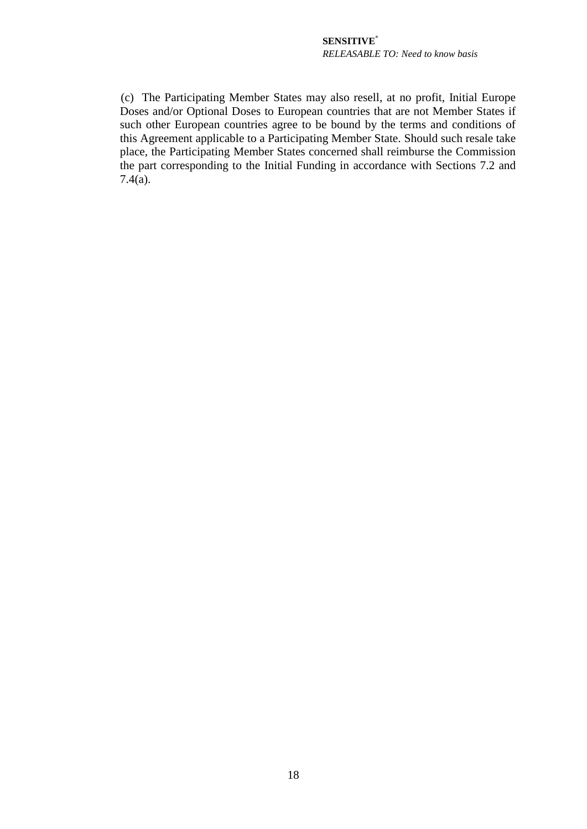(c) The Participating Member States may also resell, at no profit, Initial Europe Doses and/or Optional Doses to European countries that are not Member States if such other European countries agree to be bound by the terms and conditions of this Agreement applicable to a Participating Member State. Should such resale take place, the Participating Member States concerned shall reimburse the Commission the part corresponding to the Initial Funding in accordance with Sections [7.2](#page-12-1) and  $7.4(a)$ .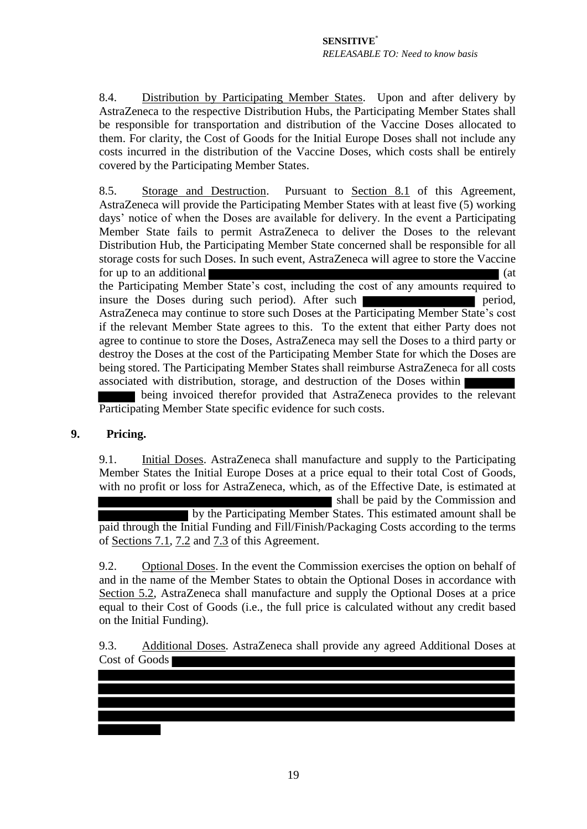8.4. Distribution by Participating Member States. Upon and after delivery by AstraZeneca to the respective Distribution Hubs, the Participating Member States shall be responsible for transportation and distribution of the Vaccine Doses allocated to them. For clarity, the Cost of Goods for the Initial Europe Doses shall not include any costs incurred in the distribution of the Vaccine Doses, which costs shall be entirely covered by the Participating Member States.

8.5. Storage and Destruction. Pursuant to Section [8.1](#page-15-0) of this Agreement, AstraZeneca will provide the Participating Member States with at least five (5) working days' notice of when the Doses are available for delivery. In the event a Participating Member State fails to permit AstraZeneca to deliver the Doses to the relevant Distribution Hub, the Participating Member State concerned shall be responsible for all storage costs for such Doses. In such event, AstraZeneca will agree to store the Vaccine for up to an additional  $\blacksquare$  (at the Participating Member State's cost, including the cost of any amounts required to insure the Doses during such period). After such period, AstraZeneca may continue to store such Doses at the Participating Member State's cost if the relevant Member State agrees to this. To the extent that either Party does not agree to continue to store the Doses, AstraZeneca may sell the Doses to a third party or destroy the Doses at the cost of the Participating Member State for which the Doses are being stored. The Participating Member States shall reimburse AstraZeneca for all costs associated with distribution, storage, and destruction of the Doses within being invoiced therefor provided that AstraZeneca provides to the relevant Participating Member State specific evidence for such costs.

# **9. Pricing.**

9.1. Initial Doses. AstraZeneca shall manufacture and supply to the Participating Member States the Initial Europe Doses at a price equal to their total Cost of Goods, with no profit or loss for AstraZeneca, which, as of the Effective Date, is estimated at shall be paid by the Commission and by the Participating Member States. This estimated amount shall be paid through the Initial Funding and Fill/Finish/Packaging Costs according to the terms of Sections [7.](#page-12-3)1, 7.2 and 7.3 of this Agreement.

9.2. Optional Doses. In the event the Commission exercises the option on behalf of and in the name of the Member States to obtain the Optional Doses in accordance with Section 5.2, AstraZeneca shall manufacture and supply the Optional Doses at a price equal to their Cost of Goods (i.e., the full price is calculated without any credit based on the Initial Funding).

9.3. Additional Doses. AstraZeneca shall provide any agreed Additional Doses at Cost of Goods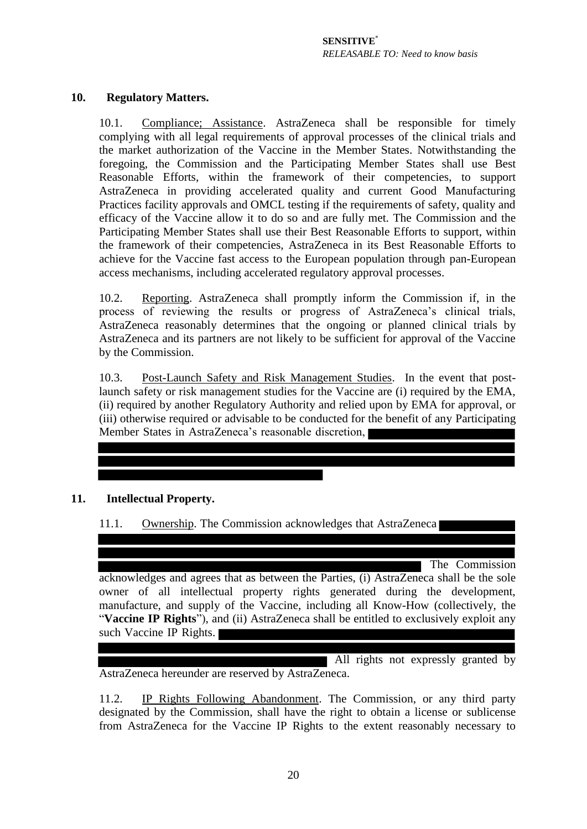## **10. Regulatory Matters.**

10.1. Compliance; Assistance. AstraZeneca shall be responsible for timely complying with all legal requirements of approval processes of the clinical trials and the market authorization of the Vaccine in the Member States. Notwithstanding the foregoing, the Commission and the Participating Member States shall use Best Reasonable Efforts, within the framework of their competencies, to support AstraZeneca in providing accelerated quality and current Good Manufacturing Practices facility approvals and OMCL testing if the requirements of safety, quality and efficacy of the Vaccine allow it to do so and are fully met. The Commission and the Participating Member States shall use their Best Reasonable Efforts to support, within the framework of their competencies, AstraZeneca in its Best Reasonable Efforts to achieve for the Vaccine fast access to the European population through pan-European access mechanisms, including accelerated regulatory approval processes.

<span id="page-19-2"></span>10.2. Reporting. AstraZeneca shall promptly inform the Commission if, in the process of reviewing the results or progress of AstraZeneca's clinical trials, AstraZeneca reasonably determines that the ongoing or planned clinical trials by AstraZeneca and its partners are not likely to be sufficient for approval of the Vaccine by the Commission.

<span id="page-19-1"></span>10.3. Post-Launch Safety and Risk Management Studies. In the event that postlaunch safety or risk management studies for the Vaccine are (i) required by the EMA, (ii) required by another Regulatory Authority and relied upon by EMA for approval, or (iii) otherwise required or advisable to be conducted for the benefit of any Participating Member States in AstraZeneca's reasonable discretion,

# <span id="page-19-3"></span><span id="page-19-0"></span>**11. Intellectual Property.**

11.1. Ownership. The Commission acknowledges that AstraZeneca

The Commission

acknowledges and agrees that as between the Parties, (i) AstraZeneca shall be the sole owner of all intellectual property rights generated during the development, manufacture, and supply of the Vaccine, including all Know-How (collectively, the "**Vaccine IP Rights**"), and (ii) AstraZeneca shall be entitled to exclusively exploit any such Vaccine IP Rights.

All rights not expressly granted by AstraZeneca hereunder are reserved by AstraZeneca.

11.2. IP Rights Following Abandonment. The Commission, or any third party designated by the Commission, shall have the right to obtain a license or sublicense from AstraZeneca for the Vaccine IP Rights to the extent reasonably necessary to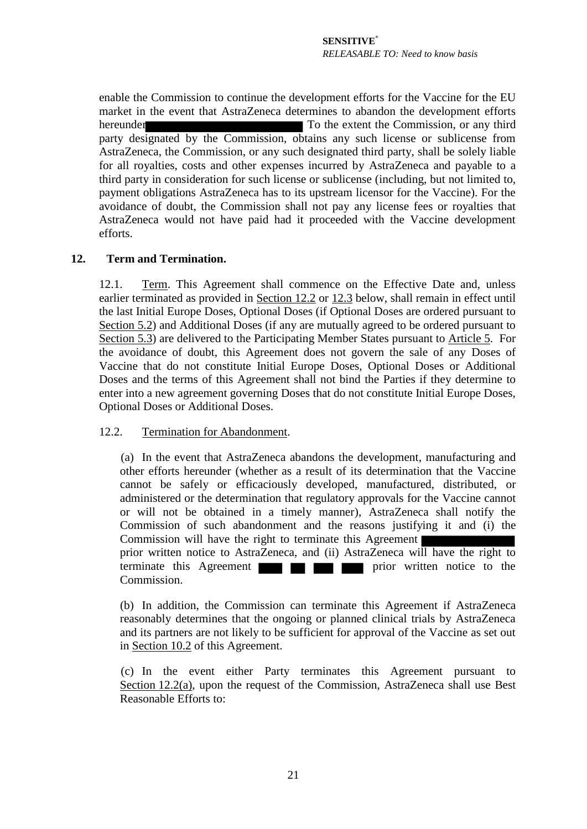enable the Commission to continue the development efforts for the Vaccine for the EU market in the event that AstraZeneca determines to abandon the development efforts hereunder To the extent the Commission, or any third party designated by the Commission, obtains any such license or sublicense from AstraZeneca, the Commission, or any such designated third party, shall be solely liable for all royalties, costs and other expenses incurred by AstraZeneca and payable to a third party in consideration for such license or sublicense (including, but not limited to, payment obligations AstraZeneca has to its upstream licensor for the Vaccine). For the avoidance of doubt, the Commission shall not pay any license fees or royalties that AstraZeneca would not have paid had it proceeded with the Vaccine development efforts.

## <span id="page-20-1"></span>**12. Term and Termination.**

12.1. Term. This Agreement shall commence on the Effective Date and, unless earlier terminated as provided in Section [12.2](#page-20-0) or [12.3](#page-21-0) below, shall remain in effect until the last Initial Europe Doses, Optional Doses (if Optional Doses are ordered pursuant to Section 5.2) and Additional Doses (if any are mutually agreed to be ordered pursuant to Section 5.3) are delivered to the Participating Member States pursuant to Article 5. For the avoidance of doubt, this Agreement does not govern the sale of any Doses of Vaccine that do not constitute Initial Europe Doses, Optional Doses or Additional Doses and the terms of this Agreement shall not bind the Parties if they determine to enter into a new agreement governing Doses that do not constitute Initial Europe Doses, Optional Doses or Additional Doses.

#### <span id="page-20-0"></span>12.2. Termination for Abandonment.

(a) In the event that AstraZeneca abandons the development, manufacturing and other efforts hereunder (whether as a result of its determination that the Vaccine cannot be safely or efficaciously developed, manufactured, distributed, or administered or the determination that regulatory approvals for the Vaccine cannot or will not be obtained in a timely manner), AstraZeneca shall notify the Commission of such abandonment and the reasons justifying it and (i) the Commission will have the right to terminate this Agreement

prior written notice to AstraZeneca, and (ii) AstraZeneca will have the right to terminate this Agreement Commission.

(b) In addition, the Commission can terminate this Agreement if AstraZeneca reasonably determines that the ongoing or planned clinical trials by AstraZeneca and its partners are not likely to be sufficient for approval of the Vaccine as set out in Section [10.2](#page-19-2) of this Agreement.

(c) In the event either Party terminates this Agreement pursuant to Section [12.2\(a\),](#page-20-0) upon the request of the Commission, AstraZeneca shall use Best Reasonable Efforts to: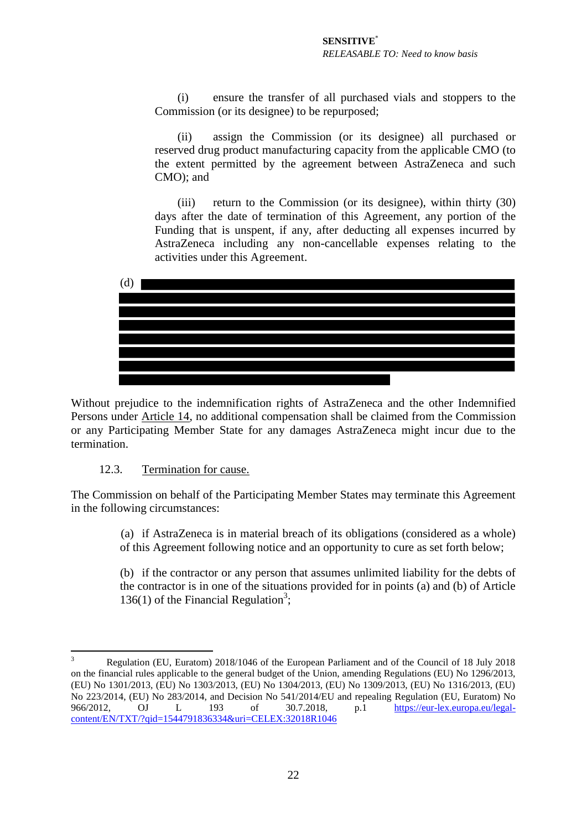(i) ensure the transfer of all purchased vials and stoppers to the Commission (or its designee) to be repurposed;

(ii) assign the Commission (or its designee) all purchased or reserved drug product manufacturing capacity from the applicable CMO (to the extent permitted by the agreement between AstraZeneca and such CMO); and

(iii) return to the Commission (or its designee), within thirty (30) days after the date of termination of this Agreement, any portion of the Funding that is unspent, if any, after deducting all expenses incurred by AstraZeneca including any non-cancellable expenses relating to the activities under this Agreement.



Without prejudice to the indemnification rights of AstraZeneca and the other Indemnified Persons under Article 14, no additional compensation shall be claimed from the Commission or any Participating Member State for any damages AstraZeneca might incur due to the termination.

## 12.3. Termination for cause.

<span id="page-21-0"></span>The Commission on behalf of the Participating Member States may terminate this Agreement in the following circumstances:

> (a) if AstraZeneca is in material breach of its obligations (considered as a whole) of this Agreement following notice and an opportunity to cure as set forth below;

> (b) if the contractor or any person that assumes unlimited liability for the debts of the contractor is in one of the situations provided for in points (a) and (b) of Article 136(1) of the Financial Regulation<sup>3</sup>;

<sup>&</sup>lt;u>.</u> 3 Regulation (EU, Euratom) 2018/1046 of the European Parliament and of the Council of 18 July 2018 on the financial rules applicable to the general budget of the Union, amending Regulations (EU) No 1296/2013, (EU) No 1301/2013, (EU) No 1303/2013, (EU) No 1304/2013, (EU) No 1309/2013, (EU) No 1316/2013, (EU) No 223/2014, (EU) No 283/2014, and Decision No 541/2014/EU and repealing Regulation (EU, Euratom) No 966/2012, OJ L 193 of 30.7.2018, p.1 [https://eur-lex.europa.eu/legal](https://eur-lex.europa.eu/legal-content/EN/TXT/?qid=1544791836334&uri=CELEX:32018R1046)[content/EN/TXT/?qid=1544791836334&uri=CELEX:32018R1046](https://eur-lex.europa.eu/legal-content/EN/TXT/?qid=1544791836334&uri=CELEX:32018R1046)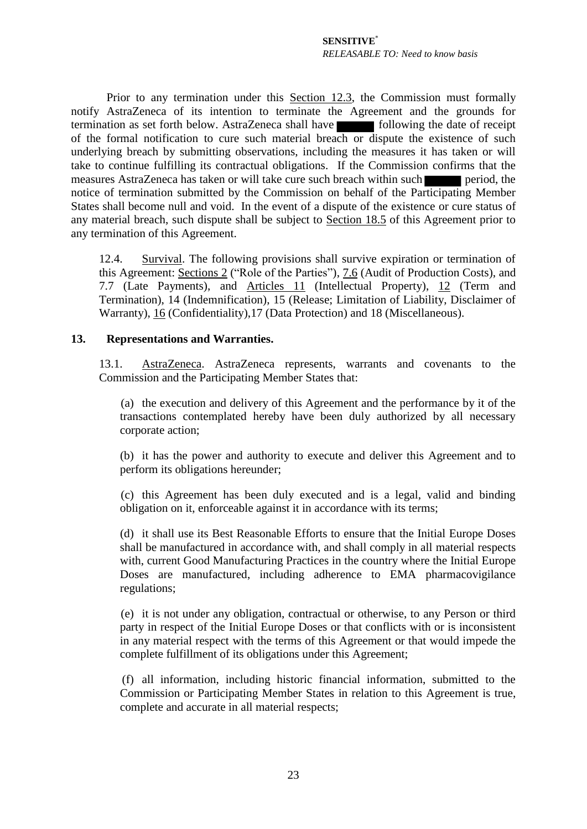Prior to any termination under this Section [12.3,](#page-21-0) the Commission must formally notify AstraZeneca of its intention to terminate the Agreement and the grounds for termination as set forth below. AstraZeneca shall have following the date of receipt of the formal notification to cure such material breach or dispute the existence of such underlying breach by submitting observations, including the measures it has taken or will take to continue fulfilling its contractual obligations. If the Commission confirms that the measures AstraZeneca has taken or will take cure such breach within such period, the notice of termination submitted by the Commission on behalf of the Participating Member States shall become null and void. In the event of a dispute of the existence or cure status of any material breach, such dispute shall be subject to Section 18.5 of this Agreement prior to any termination of this Agreement.

12.4. Survival. The following provisions shall survive expiration or termination of this Agreement: Sections [2](#page-7-0) ("Role of the Parties"), [7.6](#page-14-0) (Audit of Production Costs), and [7.7](#page-15-1) (Late Payments), and Articles [11](#page-19-3) (Intellectual Property), [12](#page-20-1) (Term and Termination), [14](#page-23-1) (Indemnification), [15](#page-24-0) (Release; Limitation of Liability, Disclaimer of Warranty), [16](#page-25-2) (Confidentiality)[,17](#page-28-0) (Data Protection) and [18](#page-29-0) (Miscellaneous).

#### <span id="page-22-0"></span>**13. Representations and Warranties.**

13.1. AstraZeneca. AstraZeneca represents, warrants and covenants to the Commission and the Participating Member States that:

(a) the execution and delivery of this Agreement and the performance by it of the transactions contemplated hereby have been duly authorized by all necessary corporate action;

(b) it has the power and authority to execute and deliver this Agreement and to perform its obligations hereunder;

(c) this Agreement has been duly executed and is a legal, valid and binding obligation on it, enforceable against it in accordance with its terms;

(d) it shall use its Best Reasonable Efforts to ensure that the Initial Europe Doses shall be manufactured in accordance with, and shall comply in all material respects with, current Good Manufacturing Practices in the country where the Initial Europe Doses are manufactured, including adherence to EMA pharmacovigilance regulations;

(e) it is not under any obligation, contractual or otherwise, to any Person or third party in respect of the Initial Europe Doses or that conflicts with or is inconsistent in any material respect with the terms of this Agreement or that would impede the complete fulfillment of its obligations under this Agreement;

(f) all information, including historic financial information, submitted to the Commission or Participating Member States in relation to this Agreement is true, complete and accurate in all material respects;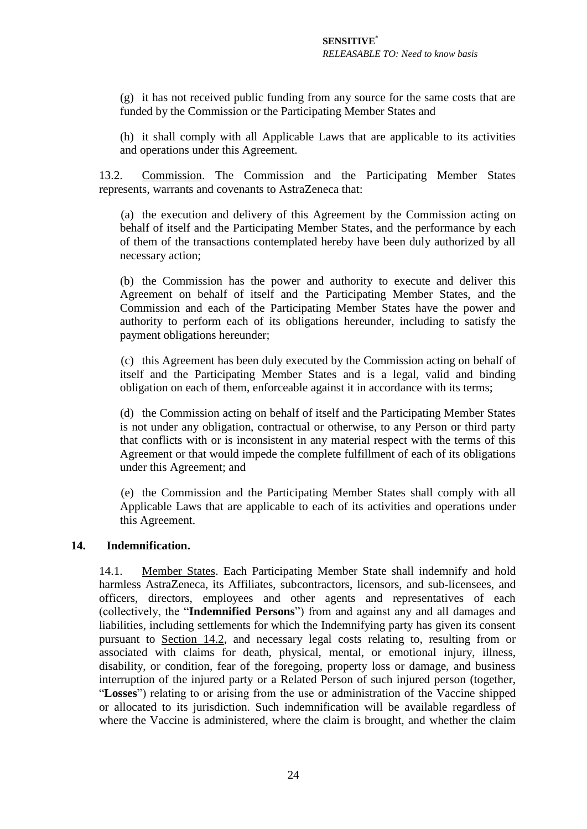(g) it has not received public funding from any source for the same costs that are funded by the Commission or the Participating Member States and

(h) it shall comply with all Applicable Laws that are applicable to its activities and operations under this Agreement.

13.2. Commission. The Commission and the Participating Member States represents, warrants and covenants to AstraZeneca that:

(a) the execution and delivery of this Agreement by the Commission acting on behalf of itself and the Participating Member States, and the performance by each of them of the transactions contemplated hereby have been duly authorized by all necessary action;

(b) the Commission has the power and authority to execute and deliver this Agreement on behalf of itself and the Participating Member States, and the Commission and each of the Participating Member States have the power and authority to perform each of its obligations hereunder, including to satisfy the payment obligations hereunder;

(c) this Agreement has been duly executed by the Commission acting on behalf of itself and the Participating Member States and is a legal, valid and binding obligation on each of them, enforceable against it in accordance with its terms;

(d) the Commission acting on behalf of itself and the Participating Member States is not under any obligation, contractual or otherwise, to any Person or third party that conflicts with or is inconsistent in any material respect with the terms of this Agreement or that would impede the complete fulfillment of each of its obligations under this Agreement; and

(e) the Commission and the Participating Member States shall comply with all Applicable Laws that are applicable to each of its activities and operations under this Agreement.

#### <span id="page-23-1"></span><span id="page-23-0"></span>**14. Indemnification.**

14.1. Member States. Each Participating Member State shall indemnify and hold harmless AstraZeneca, its Affiliates, subcontractors, licensors, and sub-licensees, and officers, directors, employees and other agents and representatives of each (collectively, the "**Indemnified Persons**") from and against any and all damages and liabilities, including settlements for which the Indemnifying party has given its consent pursuant to Section 14.2, and necessary legal costs relating to, resulting from or associated with claims for death, physical, mental, or emotional injury, illness, disability, or condition, fear of the foregoing, property loss or damage, and business interruption of the injured party or a Related Person of such injured person (together, "**Losses**") relating to or arising from the use or administration of the Vaccine shipped or allocated to its jurisdiction. Such indemnification will be available regardless of where the Vaccine is administered, where the claim is brought, and whether the claim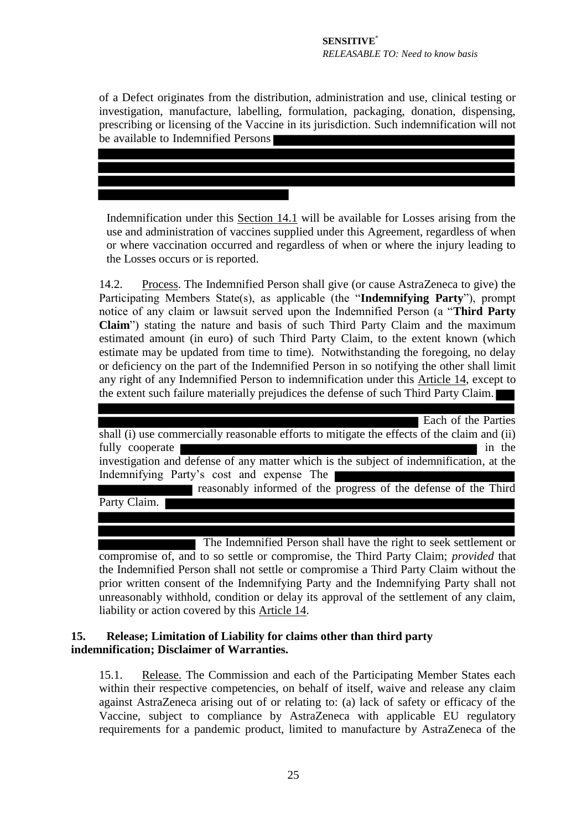of a Defect originates from the distribution, administration and use, clinical testing or investigation, manufacture, labelling, formulation, packaging, donation, dispensing, prescribing or licensing of the Vaccine in its jurisdiction. Such indemnification will not be available to Indemnified Persons

Indemnification under this Section [14.1](#page-23-0) will be available for Losses arising from the use and administration of vaccines supplied under this Agreement, regardless of when or where vaccination occurred and regardless of when or where the injury leading to the Losses occurs or is reported.

14.2. Process. The Indemnified Person shall give (or cause AstraZeneca to give) the Participating Members State(s), as applicable (the "**Indemnifying Party**"), prompt notice of any claim or lawsuit served upon the Indemnified Person (a "**Third Party Claim**") stating the nature and basis of such Third Party Claim and the maximum estimated amount (in euro) of such Third Party Claim, to the extent known (which estimate may be updated from time to time). Notwithstanding the foregoing, no delay or deficiency on the part of the Indemnified Person in so notifying the other shall limit any right of any Indemnified Person to indemnification under this Article [14,](#page-23-1) except to the extent such failure materially prejudices the defense of such Third Party Claim.

| Each of the Parties                                                                         |
|---------------------------------------------------------------------------------------------|
| shall (i) use commercially reasonable efforts to mitigate the effects of the claim and (ii) |
| fully cooperate<br>in the                                                                   |
| investigation and defense of any matter which is the subject of indemnification, at the     |
| Indemnifying Party's cost and expense The                                                   |
| reasonably informed of the progress of the defense of the Third                             |
| Party Claim.                                                                                |
|                                                                                             |
|                                                                                             |

 The Indemnified Person shall have the right to seek settlement or compromise of, and to so settle or compromise, the Third Party Claim; *provided* that the Indemnified Person shall not settle or compromise a Third Party Claim without the prior written consent of the Indemnifying Party and the Indemnifying Party shall not unreasonably withhold, condition or delay its approval of the settlement of any claim, liability or action covered by this Article [14.](#page-23-1)

# <span id="page-24-0"></span>**15. Release; Limitation of Liability for claims other than third party indemnification; Disclaimer of Warranties.**

15.1. Release. The Commission and each of the Participating Member States each within their respective competencies, on behalf of itself, waive and release any claim against AstraZeneca arising out of or relating to: (a) lack of safety or efficacy of the Vaccine, subject to compliance by AstraZeneca with applicable EU regulatory requirements for a pandemic product, limited to manufacture by AstraZeneca of the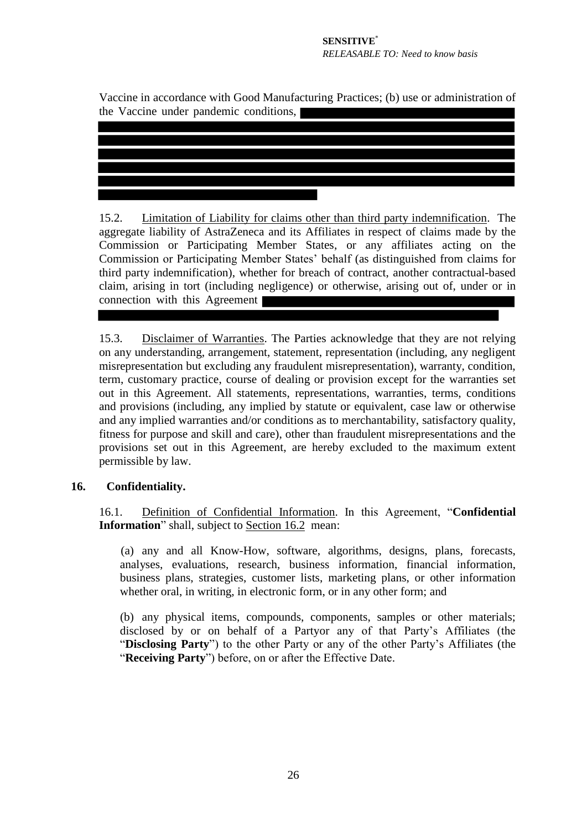Vaccine in accordance with Good Manufacturing Practices; (b) use or administration of the Vaccine under pandemic conditions,

15.2. Limitation of Liability for claims other than third party indemnification. The aggregate liability of AstraZeneca and its Affiliates in respect of claims made by the Commission or Participating Member States, or any affiliates acting on the Commission or Participating Member States' behalf (as distinguished from claims for third party indemnification), whether for breach of contract, another contractual-based claim, arising in tort (including negligence) or otherwise, arising out of, under or in connection with this Agreement

15.3. Disclaimer of Warranties. The Parties acknowledge that they are not relying on any understanding, arrangement, statement, representation (including, any negligent misrepresentation but excluding any fraudulent misrepresentation), warranty, condition, term, customary practice, course of dealing or provision except for the warranties set out in this Agreement. All statements, representations, warranties, terms, conditions and provisions (including, any implied by statute or equivalent, case law or otherwise and any implied warranties and/or conditions as to merchantability, satisfactory quality, fitness for purpose and skill and care), other than fraudulent misrepresentations and the provisions set out in this Agreement, are hereby excluded to the maximum extent permissible by law.

# <span id="page-25-2"></span><span id="page-25-0"></span>**16. Confidentiality.**

16.1. Definition of Confidential Information. In this Agreement, "**Confidential Information**" shall, subject to Section [16.2](#page-26-0) mean:

(a) any and all Know-How, software, algorithms, designs, plans, forecasts, analyses, evaluations, research, business information, financial information, business plans, strategies, customer lists, marketing plans, or other information whether oral, in writing, in electronic form, or in any other form; and

<span id="page-25-1"></span>(b) any physical items, compounds, components, samples or other materials; disclosed by or on behalf of a Partyor any of that Party's Affiliates (the "**Disclosing Party**") to the other Party or any of the other Party's Affiliates (the "**Receiving Party**") before, on or after the Effective Date.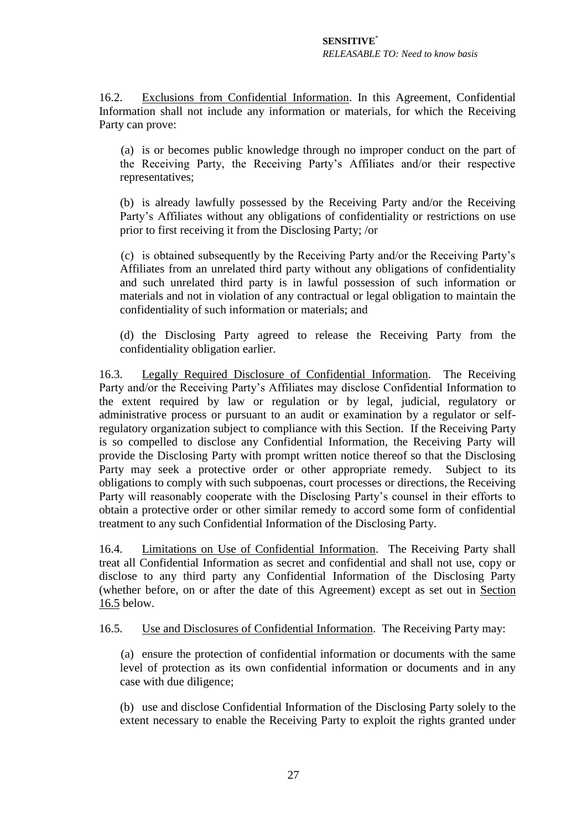<span id="page-26-0"></span>16.2. Exclusions from Confidential Information. In this Agreement, Confidential Information shall not include any information or materials, for which the Receiving Party can prove:

(a) is or becomes public knowledge through no improper conduct on the part of the Receiving Party, the Receiving Party's Affiliates and/or their respective representatives;

(b) is already lawfully possessed by the Receiving Party and/or the Receiving Party's Affiliates without any obligations of confidentiality or restrictions on use prior to first receiving it from the Disclosing Party; /or

(c) is obtained subsequently by the Receiving Party and/or the Receiving Party's Affiliates from an unrelated third party without any obligations of confidentiality and such unrelated third party is in lawful possession of such information or materials and not in violation of any contractual or legal obligation to maintain the confidentiality of such information or materials; and

(d) the Disclosing Party agreed to release the Receiving Party from the confidentiality obligation earlier.

16.3. Legally Required Disclosure of Confidential Information. The Receiving Party and/or the Receiving Party's Affiliates may disclose Confidential Information to the extent required by law or regulation or by legal, judicial, regulatory or administrative process or pursuant to an audit or examination by a regulator or selfregulatory organization subject to compliance with this Section. If the Receiving Party is so compelled to disclose any Confidential Information, the Receiving Party will provide the Disclosing Party with prompt written notice thereof so that the Disclosing Party may seek a protective order or other appropriate remedy. Subject to its obligations to comply with such subpoenas, court processes or directions, the Receiving Party will reasonably cooperate with the Disclosing Party's counsel in their efforts to obtain a protective order or other similar remedy to accord some form of confidential treatment to any such Confidential Information of the Disclosing Party.

16.4. Limitations on Use of Confidential Information. The Receiving Party shall treat all Confidential Information as secret and confidential and shall not use, copy or disclose to any third party any Confidential Information of the Disclosing Party (whether before, on or after the date of this Agreement) except as set out in Section [16.5](#page-26-1) below.

<span id="page-26-1"></span>16.5. Use and Disclosures of Confidential Information. The Receiving Party may:

(a) ensure the protection of confidential information or documents with the same level of protection as its own confidential information or documents and in any case with due diligence;

(b) use and disclose Confidential Information of the Disclosing Party solely to the extent necessary to enable the Receiving Party to exploit the rights granted under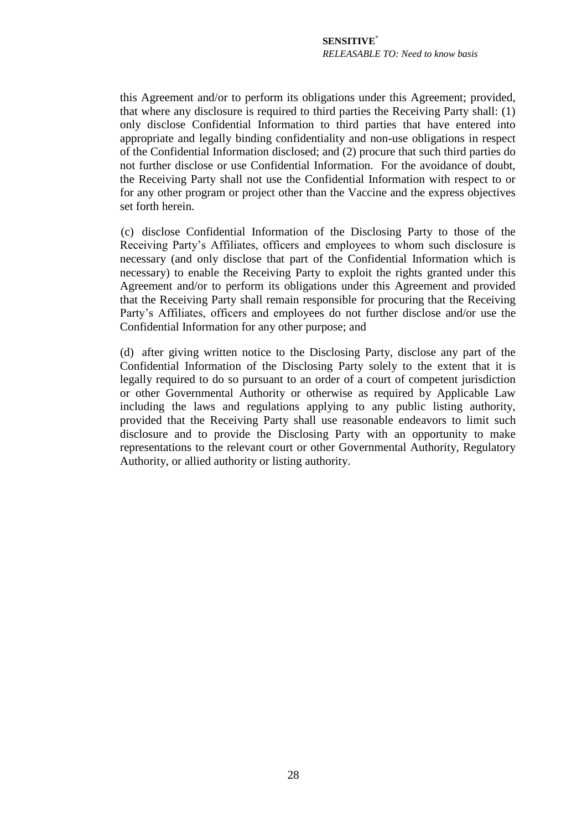this Agreement and/or to perform its obligations under this Agreement; provided, that where any disclosure is required to third parties the Receiving Party shall: (1) only disclose Confidential Information to third parties that have entered into appropriate and legally binding confidentiality and non-use obligations in respect of the Confidential Information disclosed; and (2) procure that such third parties do not further disclose or use Confidential Information. For the avoidance of doubt, the Receiving Party shall not use the Confidential Information with respect to or for any other program or project other than the Vaccine and the express objectives set forth herein.

(c) disclose Confidential Information of the Disclosing Party to those of the Receiving Party's Affiliates, officers and employees to whom such disclosure is necessary (and only disclose that part of the Confidential Information which is necessary) to enable the Receiving Party to exploit the rights granted under this Agreement and/or to perform its obligations under this Agreement and provided that the Receiving Party shall remain responsible for procuring that the Receiving Party's Affiliates, officers and employees do not further disclose and/or use the Confidential Information for any other purpose; and

(d) after giving written notice to the Disclosing Party, disclose any part of the Confidential Information of the Disclosing Party solely to the extent that it is legally required to do so pursuant to an order of a court of competent jurisdiction or other Governmental Authority or otherwise as required by Applicable Law including the laws and regulations applying to any public listing authority, provided that the Receiving Party shall use reasonable endeavors to limit such disclosure and to provide the Disclosing Party with an opportunity to make representations to the relevant court or other Governmental Authority, Regulatory Authority, or allied authority or listing authority.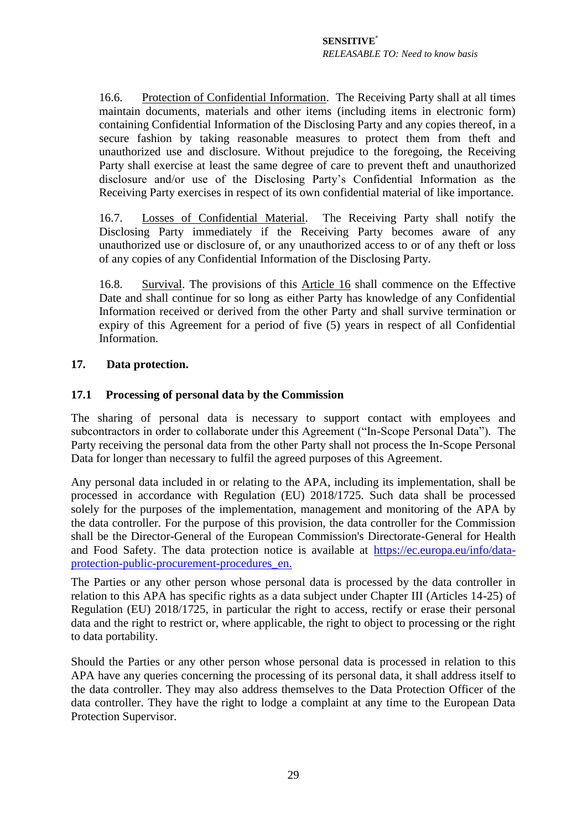16.6. Protection of Confidential Information. The Receiving Party shall at all times maintain documents, materials and other items (including items in electronic form) containing Confidential Information of the Disclosing Party and any copies thereof, in a secure fashion by taking reasonable measures to protect them from theft and unauthorized use and disclosure. Without prejudice to the foregoing, the Receiving Party shall exercise at least the same degree of care to prevent theft and unauthorized disclosure and/or use of the Disclosing Party's Confidential Information as the Receiving Party exercises in respect of its own confidential material of like importance.

16.7. Losses of Confidential Material. The Receiving Party shall notify the Disclosing Party immediately if the Receiving Party becomes aware of any unauthorized use or disclosure of, or any unauthorized access to or of any theft or loss of any copies of any Confidential Information of the Disclosing Party.

16.8. Survival. The provisions of this Article [16](#page-25-2) shall commence on the Effective Date and shall continue for so long as either Party has knowledge of any Confidential Information received or derived from the other Party and shall survive termination or expiry of this Agreement for a period of five (5) years in respect of all Confidential Information.

## <span id="page-28-0"></span>**17. Data protection.**

## **17.1 Processing of personal data by the Commission**

The sharing of personal data is necessary to support contact with employees and subcontractors in order to collaborate under this Agreement ("In-Scope Personal Data"). The Party receiving the personal data from the other Party shall not process the In-Scope Personal Data for longer than necessary to fulfil the agreed purposes of this Agreement.

Any personal data included in or relating to the APA, including its implementation, shall be processed in accordance with Regulation (EU) 2018/1725. Such data shall be processed solely for the purposes of the implementation, management and monitoring of the APA by the data controller. For the purpose of this provision, the data controller for the Commission shall be the Director-General of the European Commission's Directorate-General for Health and Food Safety. The data protection notice is available at [https://ec.europa.eu/info/data](https://ec.europa.eu/info/data-protection-public-procurement-procedures_en)[protection-public-procurement-procedures\\_en.](https://ec.europa.eu/info/data-protection-public-procurement-procedures_en)

The Parties or any other person whose personal data is processed by the data controller in relation to this APA has specific rights as a data subject under Chapter III (Articles 14-25) of Regulation (EU) 2018/1725, in particular the right to access, rectify or erase their personal data and the right to restrict or, where applicable, the right to object to processing or the right to data portability.

Should the Parties or any other person whose personal data is processed in relation to this APA have any queries concerning the processing of its personal data, it shall address itself to the data controller. They may also address themselves to the Data Protection Officer of the data controller. They have the right to lodge a complaint at any time to the European Data Protection Supervisor.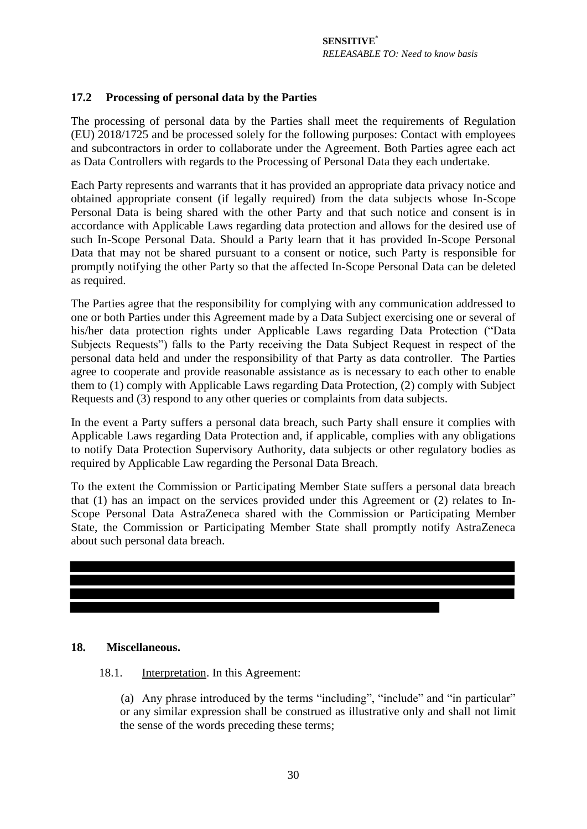# **17.2 Processing of personal data by the Parties**

The processing of personal data by the Parties shall meet the requirements of Regulation (EU) 2018/1725 and be processed solely for the following purposes: Contact with employees and subcontractors in order to collaborate under the Agreement. Both Parties agree each act as Data Controllers with regards to the Processing of Personal Data they each undertake.

Each Party represents and warrants that it has provided an appropriate data privacy notice and obtained appropriate consent (if legally required) from the data subjects whose In-Scope Personal Data is being shared with the other Party and that such notice and consent is in accordance with Applicable Laws regarding data protection and allows for the desired use of such In-Scope Personal Data. Should a Party learn that it has provided In-Scope Personal Data that may not be shared pursuant to a consent or notice, such Party is responsible for promptly notifying the other Party so that the affected In-Scope Personal Data can be deleted as required.

The Parties agree that the responsibility for complying with any communication addressed to one or both Parties under this Agreement made by a Data Subject exercising one or several of his/her data protection rights under Applicable Laws regarding Data Protection ("Data Subjects Requests") falls to the Party receiving the Data Subject Request in respect of the personal data held and under the responsibility of that Party as data controller. The Parties agree to cooperate and provide reasonable assistance as is necessary to each other to enable them to (1) comply with Applicable Laws regarding Data Protection, (2) comply with Subject Requests and (3) respond to any other queries or complaints from data subjects.

In the event a Party suffers a personal data breach, such Party shall ensure it complies with Applicable Laws regarding Data Protection and, if applicable, complies with any obligations to notify Data Protection Supervisory Authority, data subjects or other regulatory bodies as required by Applicable Law regarding the Personal Data Breach.

To the extent the Commission or Participating Member State suffers a personal data breach that (1) has an impact on the services provided under this Agreement or (2) relates to In-Scope Personal Data AstraZeneca shared with the Commission or Participating Member State, the Commission or Participating Member State shall promptly notify AstraZeneca about such personal data breach.



#### <span id="page-29-0"></span>**18. Miscellaneous.**

#### 18.1. Interpretation. In this Agreement:

(a) Any phrase introduced by the terms "including", "include" and "in particular" or any similar expression shall be construed as illustrative only and shall not limit the sense of the words preceding these terms;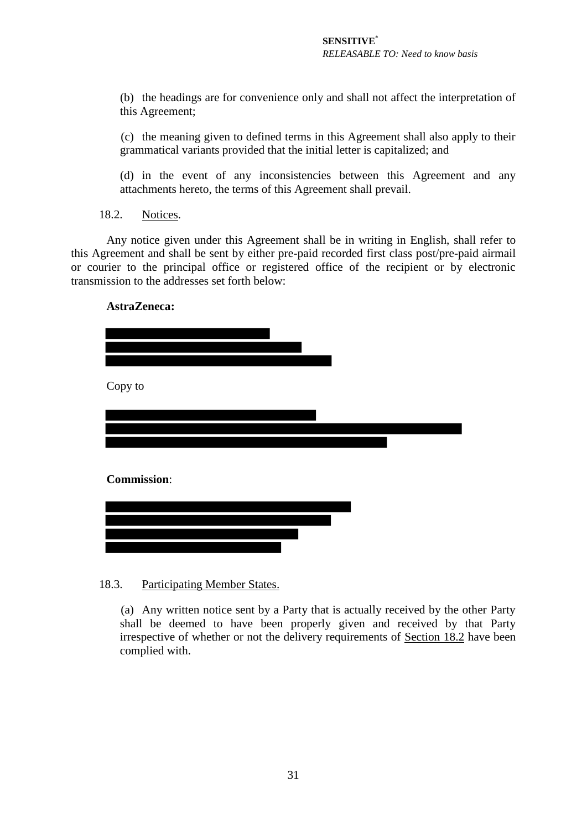(b) the headings are for convenience only and shall not affect the interpretation of this Agreement;

(c) the meaning given to defined terms in this Agreement shall also apply to their grammatical variants provided that the initial letter is capitalized; and

<span id="page-30-0"></span>(d) in the event of any inconsistencies between this Agreement and any attachments hereto, the terms of this Agreement shall prevail.

18.2. Notices.

Any notice given under this Agreement shall be in writing in English, shall refer to this Agreement and shall be sent by either pre-paid recorded first class post/pre-paid airmail or courier to the principal office or registered office of the recipient or by electronic transmission to the addresses set forth below:

#### **AstraZeneca:**

| Copy to            |  |  |
|--------------------|--|--|
|                    |  |  |
| <b>Commission:</b> |  |  |
|                    |  |  |
|                    |  |  |

#### 18.3. Participating Member States.

(a) Any written notice sent by a Party that is actually received by the other Party shall be deemed to have been properly given and received by that Party irrespective of whether or not the delivery requirements of Section [18.2](#page-30-0) have been complied with.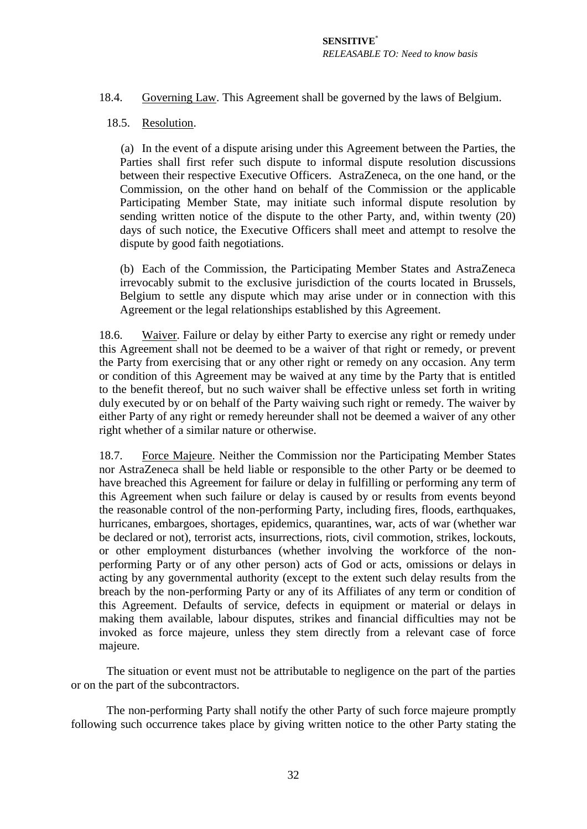18.4. Governing Law. This Agreement shall be governed by the laws of Belgium.

## 18.5. Resolution.

(a) In the event of a dispute arising under this Agreement between the Parties, the Parties shall first refer such dispute to informal dispute resolution discussions between their respective Executive Officers. AstraZeneca, on the one hand, or the Commission, on the other hand on behalf of the Commission or the applicable Participating Member State, may initiate such informal dispute resolution by sending written notice of the dispute to the other Party, and, within twenty (20) days of such notice, the Executive Officers shall meet and attempt to resolve the dispute by good faith negotiations.

(b) Each of the Commission, the Participating Member States and AstraZeneca irrevocably submit to the exclusive jurisdiction of the courts located in Brussels, Belgium to settle any dispute which may arise under or in connection with this Agreement or the legal relationships established by this Agreement.

18.6. Waiver. Failure or delay by either Party to exercise any right or remedy under this Agreement shall not be deemed to be a waiver of that right or remedy, or prevent the Party from exercising that or any other right or remedy on any occasion. Any term or condition of this Agreement may be waived at any time by the Party that is entitled to the benefit thereof, but no such waiver shall be effective unless set forth in writing duly executed by or on behalf of the Party waiving such right or remedy. The waiver by either Party of any right or remedy hereunder shall not be deemed a waiver of any other right whether of a similar nature or otherwise.

18.7. Force Majeure. Neither the Commission nor the Participating Member States nor AstraZeneca shall be held liable or responsible to the other Party or be deemed to have breached this Agreement for failure or delay in fulfilling or performing any term of this Agreement when such failure or delay is caused by or results from events beyond the reasonable control of the non-performing Party, including fires, floods, earthquakes, hurricanes, embargoes, shortages, epidemics, quarantines, war, acts of war (whether war be declared or not), terrorist acts, insurrections, riots, civil commotion, strikes, lockouts, or other employment disturbances (whether involving the workforce of the nonperforming Party or of any other person) acts of God or acts, omissions or delays in acting by any governmental authority (except to the extent such delay results from the breach by the non-performing Party or any of its Affiliates of any term or condition of this Agreement. Defaults of service, defects in equipment or material or delays in making them available, labour disputes, strikes and financial difficulties may not be invoked as force majeure, unless they stem directly from a relevant case of force majeure.

The situation or event must not be attributable to negligence on the part of the parties or on the part of the subcontractors.

The non-performing Party shall notify the other Party of such force majeure promptly following such occurrence takes place by giving written notice to the other Party stating the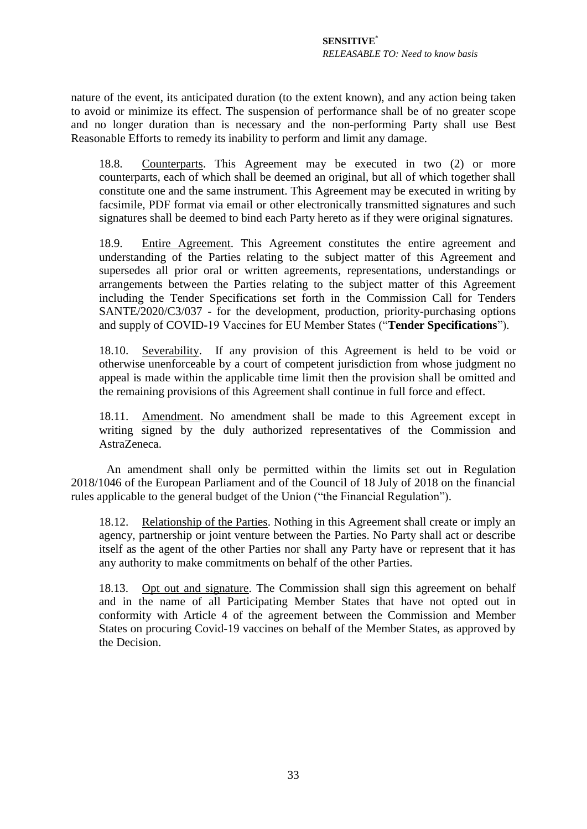nature of the event, its anticipated duration (to the extent known), and any action being taken to avoid or minimize its effect. The suspension of performance shall be of no greater scope and no longer duration than is necessary and the non-performing Party shall use Best Reasonable Efforts to remedy its inability to perform and limit any damage.

18.8. Counterparts. This Agreement may be executed in two (2) or more counterparts, each of which shall be deemed an original, but all of which together shall constitute one and the same instrument. This Agreement may be executed in writing by facsimile, PDF format via email or other electronically transmitted signatures and such signatures shall be deemed to bind each Party hereto as if they were original signatures.

<span id="page-32-0"></span>18.9. Entire Agreement. This Agreement constitutes the entire agreement and understanding of the Parties relating to the subject matter of this Agreement and supersedes all prior oral or written agreements, representations, understandings or arrangements between the Parties relating to the subject matter of this Agreement including the Tender Specifications set forth in the Commission Call for Tenders SANTE/2020/C3/037 - for the development, production, priority-purchasing options and supply of COVID-19 Vaccines for EU Member States ("**Tender Specifications**").

18.10. Severability. If any provision of this Agreement is held to be void or otherwise unenforceable by a court of competent jurisdiction from whose judgment no appeal is made within the applicable time limit then the provision shall be omitted and the remaining provisions of this Agreement shall continue in full force and effect.

18.11. Amendment. No amendment shall be made to this Agreement except in writing signed by the duly authorized representatives of the Commission and AstraZeneca.

An amendment shall only be permitted within the limits set out in Regulation 2018/1046 of the European Parliament and of the Council of 18 July of 2018 on the financial rules applicable to the general budget of the Union ("the Financial Regulation").

18.12. Relationship of the Parties. Nothing in this Agreement shall create or imply an agency, partnership or joint venture between the Parties. No Party shall act or describe itself as the agent of the other Parties nor shall any Party have or represent that it has any authority to make commitments on behalf of the other Parties.

18.13. Opt out and signature. The Commission shall sign this agreement on behalf and in the name of all Participating Member States that have not opted out in conformity with Article 4 of the agreement between the Commission and Member States on procuring Covid-19 vaccines on behalf of the Member States, as approved by the Decision.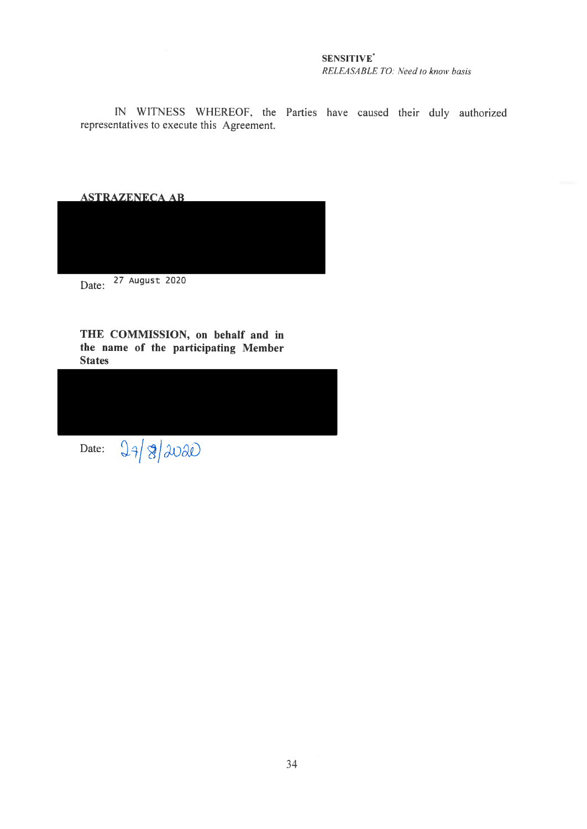#### SENSITIVE<sup>\*</sup> RELEASABLE TO: Need to know basis

IN WITNESS WHEREOF, the Parties have caused their duly authorized representatives to execute this Agreement.

**ASTRAZENECA AB** 



THE COMMISSION, on behalf and in the name of the participating Member **States** 

Date:  $24|8|2020$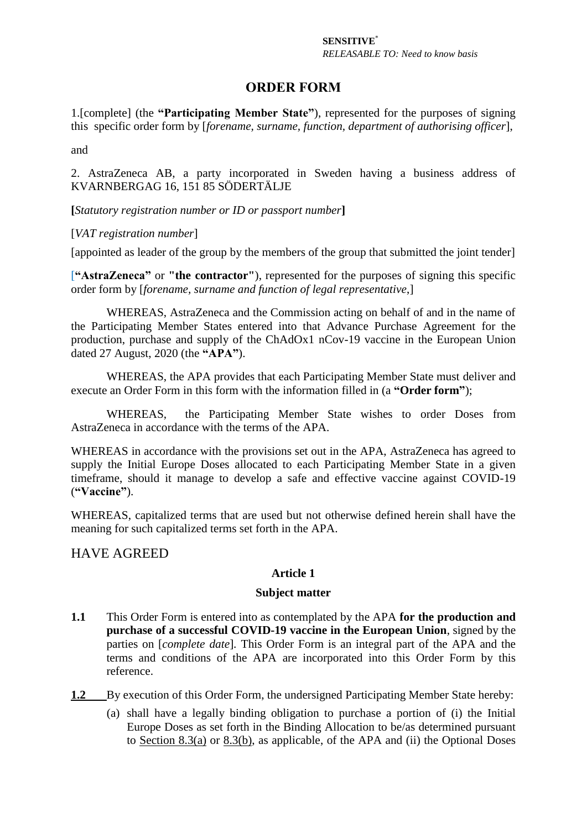# **ORDER FORM**

1.[complete] (the **"Participating Member State"**), represented for the purposes of signing this specific order form by [*forename, surname, function, department of authorising officer*],

and

2. AstraZeneca AB, a party incorporated in Sweden having a business address of KVARNBERGAG 16, 151 85 SÖDERTÄLJE

**[***Statutory registration number or ID or passport number***]** 

## [*VAT registration number*]

[appointed as leader of the group by the members of the group that submitted the joint tender]

[**"AstraZeneca"** or **"the contractor"**), represented for the purposes of signing this specific order form by [*forename, surname and function of legal representative*,]

WHEREAS, AstraZeneca and the Commission acting on behalf of and in the name of the Participating Member States entered into that Advance Purchase Agreement for the production, purchase and supply of the ChAdOx1 nCov-19 vaccine in the European Union dated 27 August, 2020 (the **"APA"**).

WHEREAS, the APA provides that each Participating Member State must deliver and execute an Order Form in this form with the information filled in (a **"Order form"**);

WHEREAS, the Participating Member State wishes to order Doses from AstraZeneca in accordance with the terms of the APA.

WHEREAS in accordance with the provisions set out in the APA, AstraZeneca has agreed to supply the Initial Europe Doses allocated to each Participating Member State in a given timeframe, should it manage to develop a safe and effective vaccine against COVID-19 (**"Vaccine"**).

WHEREAS, capitalized terms that are used but not otherwise defined herein shall have the meaning for such capitalized terms set forth in the APA.

# HAVE AGREED

# **Article 1**

#### **Subject matter**

- **1.1** This Order Form is entered into as contemplated by the APA **for the production and purchase of a successful COVID-19 vaccine in the European Union**, signed by the parties on [*complete date*]*.* This Order Form is an integral part of the APA and the terms and conditions of the APA are incorporated into this Order Form by this reference.
- **1.2** By execution of this Order Form, the undersigned Participating Member State hereby:
	- (a) shall have a legally binding obligation to purchase a portion of (i) the Initial Europe Doses as set forth in the Binding Allocation to be/as determined pursuant to Section [8.3\(a\)](#page-16-2) or [8.3\(b\),](#page-16-3) as applicable, of the APA and (ii) the Optional Doses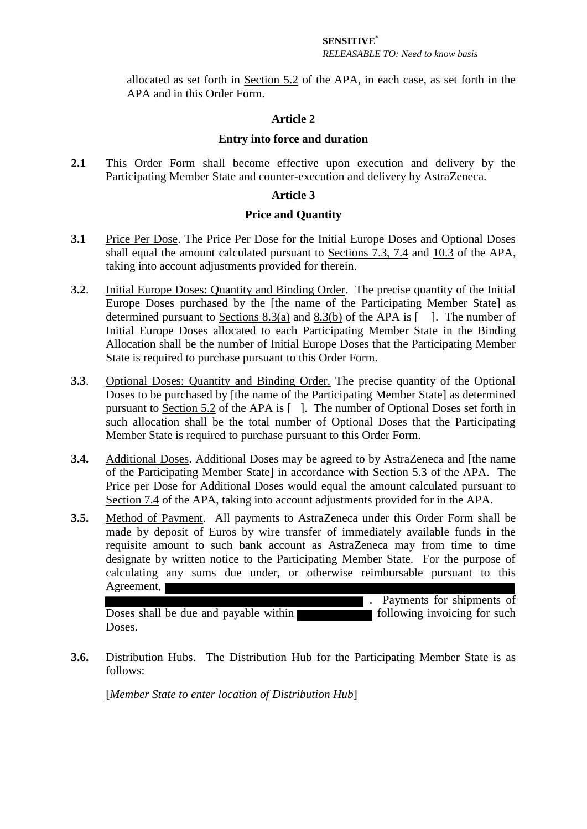## **SENSITIVE**\*

#### *RELEASABLE TO: Need to know basis*

allocated as set forth in Section 5.2 of the APA, in each case, as set forth in the APA and in this Order Form.

# **Article 2**

## **Entry into force and duration**

**2.1** This Order Form shall become effective upon execution and delivery by the Participating Member State and counter-execution and delivery by AstraZeneca.

# **Article 3**

## **Price and Quantity**

- **3.1** Price Per Dose. The Price Per Dose for the Initial Europe Doses and Optional Doses shall equal the amount calculated pursuant to Sections 7.3, 7.4 and 10.3 of the APA, taking into account adjustments provided for therein.
- **3.2**. Initial Europe Doses: Quantity and Binding Order. The precise quantity of the Initial Europe Doses purchased by the [the name of the Participating Member State] as determined pursuant to Sections 8.3(a) and 8.3(b) of the APA is  $\lceil \quad \rceil$ . The number of Initial Europe Doses allocated to each Participating Member State in the Binding Allocation shall be the number of Initial Europe Doses that the Participating Member State is required to purchase pursuant to this Order Form.
- **3.3**. Optional Doses: Quantity and Binding Order. The precise quantity of the Optional Doses to be purchased by [the name of the Participating Member State] as determined pursuant to Section 5.2 of the APA is [ ]. The number of Optional Doses set forth in such allocation shall be the total number of Optional Doses that the Participating Member State is required to purchase pursuant to this Order Form.
- **3.4.** Additional Doses. Additional Doses may be agreed to by AstraZeneca and [the name of the Participating Member State] in accordance with Section 5.3 of the APA. The Price per Dose for Additional Doses would equal the amount calculated pursuant to Section 7.4 of the APA, taking into account adjustments provided for in the APA.
- **3.5.** Method of Payment. All payments to AstraZeneca under this Order Form shall be made by deposit of Euros by wire transfer of immediately available funds in the requisite amount to such bank account as AstraZeneca may from time to time designate by written notice to the Participating Member State. For the purpose of calculating any sums due under, or otherwise reimbursable pursuant to this Agreement, . Payments for shipments of

Doses shall be due and payable within **the superior involvement of such** following invoicing for such Doses.

**3.6.** Distribution Hubs.The Distribution Hub for the Participating Member State is as follows:

[*Member State to enter location of Distribution Hub*]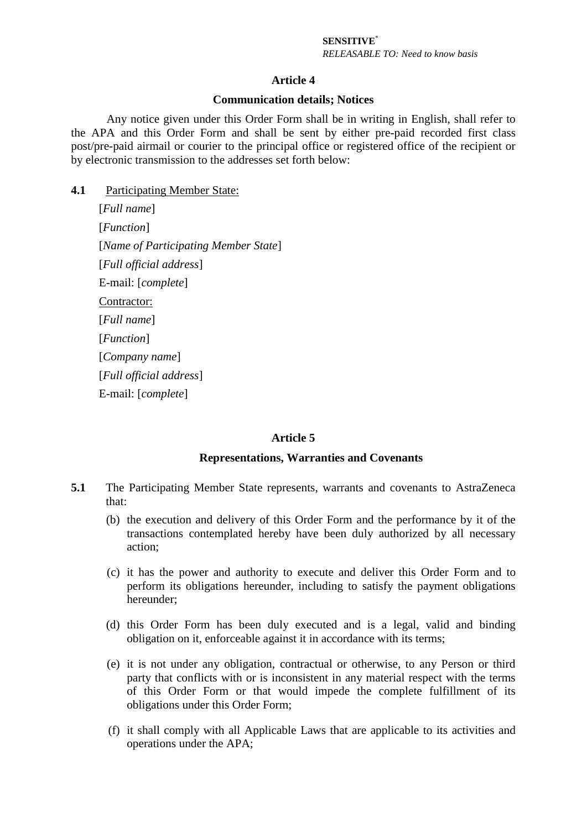# **SENSITIVE**\*

*RELEASABLE TO: Need to know basis*

## **Article 4**

#### **Communication details; Notices**

Any notice given under this Order Form shall be in writing in English, shall refer to the APA and this Order Form and shall be sent by either pre-paid recorded first class post/pre-paid airmail or courier to the principal office or registered office of the recipient or by electronic transmission to the addresses set forth below:

#### **4.1** Participating Member State:

[*Full name*] [*Function*] [*Name of Participating Member State*] [*Full official address*] E-mail: [*complete*] Contractor: [*Full name*] [*Function*] [*Company name*] [*Full official address*] E-mail: [*complete*]

#### **Article 5**

#### **Representations, Warranties and Covenants**

- **5.1** The Participating Member State represents, warrants and covenants to AstraZeneca that:
	- (b) the execution and delivery of this Order Form and the performance by it of the transactions contemplated hereby have been duly authorized by all necessary action;
	- (c) it has the power and authority to execute and deliver this Order Form and to perform its obligations hereunder, including to satisfy the payment obligations hereunder;
	- (d) this Order Form has been duly executed and is a legal, valid and binding obligation on it, enforceable against it in accordance with its terms;
	- (e) it is not under any obligation, contractual or otherwise, to any Person or third party that conflicts with or is inconsistent in any material respect with the terms of this Order Form or that would impede the complete fulfillment of its obligations under this Order Form;
	- (f) it shall comply with all Applicable Laws that are applicable to its activities and operations under the APA;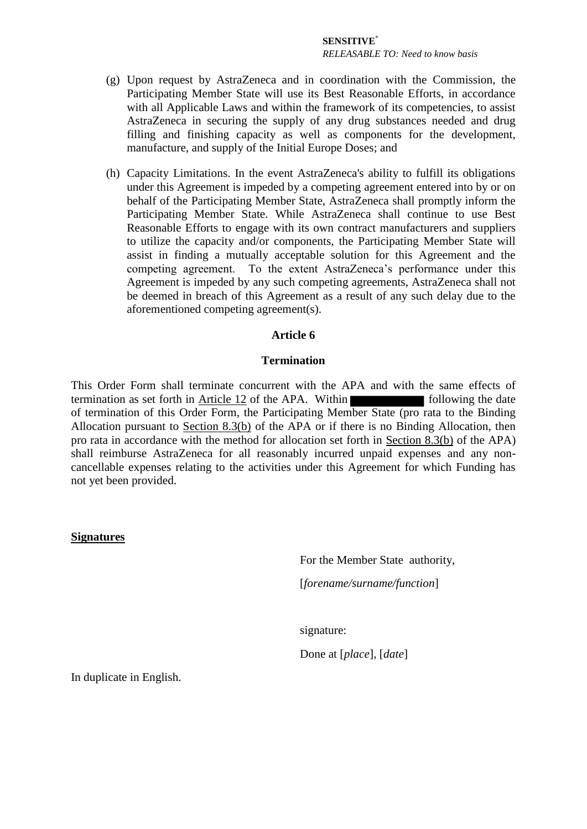#### **SENSITIVE**\*

*RELEASABLE TO: Need to know basis*

- (g) Upon request by AstraZeneca and in coordination with the Commission, the Participating Member State will use its Best Reasonable Efforts, in accordance with all Applicable Laws and within the framework of its competencies, to assist AstraZeneca in securing the supply of any drug substances needed and drug filling and finishing capacity as well as components for the development, manufacture, and supply of the Initial Europe Doses; and
- (h) Capacity Limitations. In the event AstraZeneca's ability to fulfill its obligations under this Agreement is impeded by a competing agreement entered into by or on behalf of the Participating Member State, AstraZeneca shall promptly inform the Participating Member State. While AstraZeneca shall continue to use Best Reasonable Efforts to engage with its own contract manufacturers and suppliers to utilize the capacity and/or components, the Participating Member State will assist in finding a mutually acceptable solution for this Agreement and the competing agreement. To the extent AstraZeneca's performance under this Agreement is impeded by any such competing agreements, AstraZeneca shall not be deemed in breach of this Agreement as a result of any such delay due to the aforementioned competing agreement(s).

# **Article 6**

## **Termination**

This Order Form shall terminate concurrent with the APA and with the same effects of termination as set forth in Article 12 of the APA. Within of termination of this Order Form, the Participating Member State (pro rata to the Binding Allocation pursuant to Section 8.3(b) of the APA or if there is no Binding Allocation, then pro rata in accordance with the method for allocation set forth in Section 8.3(b) of the APA) shall reimburse AstraZeneca for all reasonably incurred unpaid expenses and any noncancellable expenses relating to the activities under this Agreement for which Funding has not yet been provided.

#### **Signatures**

For the Member State authority,

[*forename/surname/function*]

signature:

Done at [*place*], [*date*]

In duplicate in English.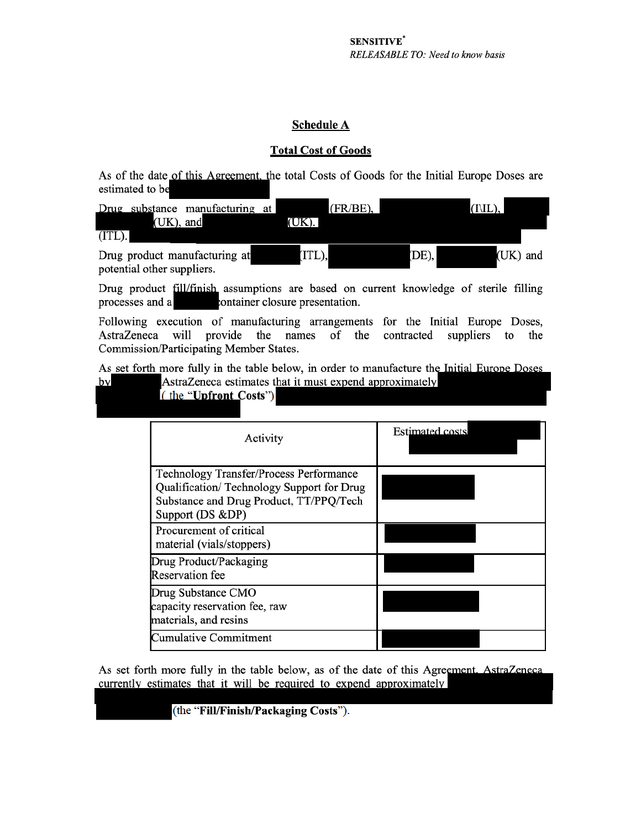#### **Schedule A**

#### **Total Cost of Goods**

As of the date of this Agreement, the total Costs of Goods for the Initial Europe Doses are estimated to be

|           | (UK), and                  | Drug substance manufacturing at | (UK). I | $(FR/BE)$ , |          | $(IVIL)$ , |          |
|-----------|----------------------------|---------------------------------|---------|-------------|----------|------------|----------|
| $(ITL)$ . |                            |                                 |         |             |          |            |          |
|           | potential other suppliers. | Drug product manufacturing at   | (ITL),  |             | $(DE)$ , |            | (UK) and |

Drug product fill/finish assumptions are based on current knowledge of sterile filling container closure presentation. processes and a

Following execution of manufacturing arrangements for the Initial Europe Doses, AstraZeneca will provide the names of the contracted suppliers to the Commission/Participating Member States.

As set forth more fully in the table below, in order to manufacture the Initial Europe Doses by

AstraZeneca estimates that it must expend approximately

| (the "Upfront Costs") |  |  |  |  |  |
|-----------------------|--|--|--|--|--|
|                       |  |  |  |  |  |

| Activity                                                                                                                                            | <b>Estimated costs</b> |
|-----------------------------------------------------------------------------------------------------------------------------------------------------|------------------------|
| Technology Transfer/Process Performance<br>Qualification/Technology Support for Drug<br>Substance and Drug Product, TT/PPQ/Tech<br>Support (DS &DP) |                        |
| Procurement of critical<br>material (vials/stoppers)                                                                                                |                        |
| Drug Product/Packaging<br><b>Reservation</b> fee                                                                                                    |                        |
| Drug Substance CMO<br>capacity reservation fee, raw<br>materials, and resins                                                                        |                        |
| Cumulative Commitment                                                                                                                               |                        |

As set forth more fully in the table below, as of the date of this Agreement. AstraZeneca currently estimates that it will be required to expend approximately

(the "Fill/Finish/Packaging Costs").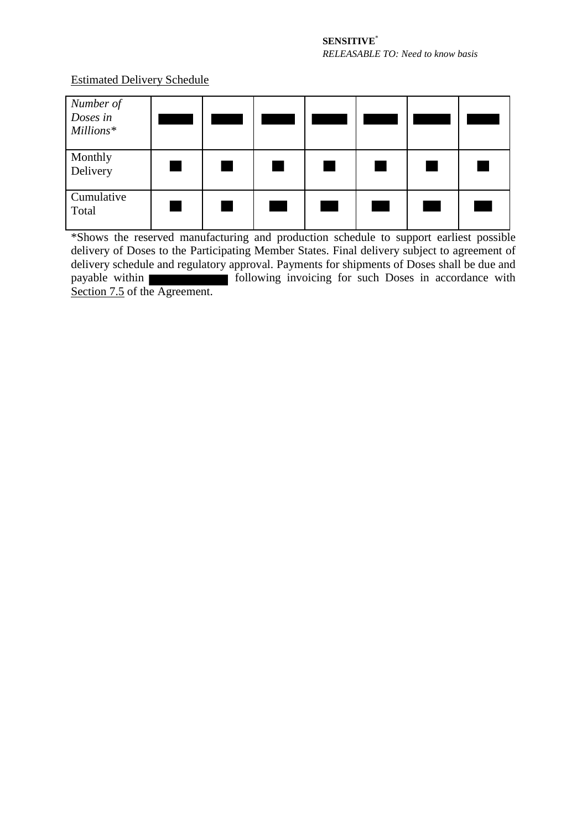Estimated Delivery Schedule

| Number of<br>Doses in<br>Millions* |  |  |  |  |
|------------------------------------|--|--|--|--|
| Monthly<br>Delivery                |  |  |  |  |
| Cumulative<br>Total                |  |  |  |  |

\*Shows the reserved manufacturing and production schedule to support earliest possible delivery of Doses to the Participating Member States. Final delivery subject to agreement of delivery schedule and regulatory approval. Payments for shipments of Doses shall be due and payable within **following** invoicing for such Doses in accordance with Section 7.5 of the Agreement.